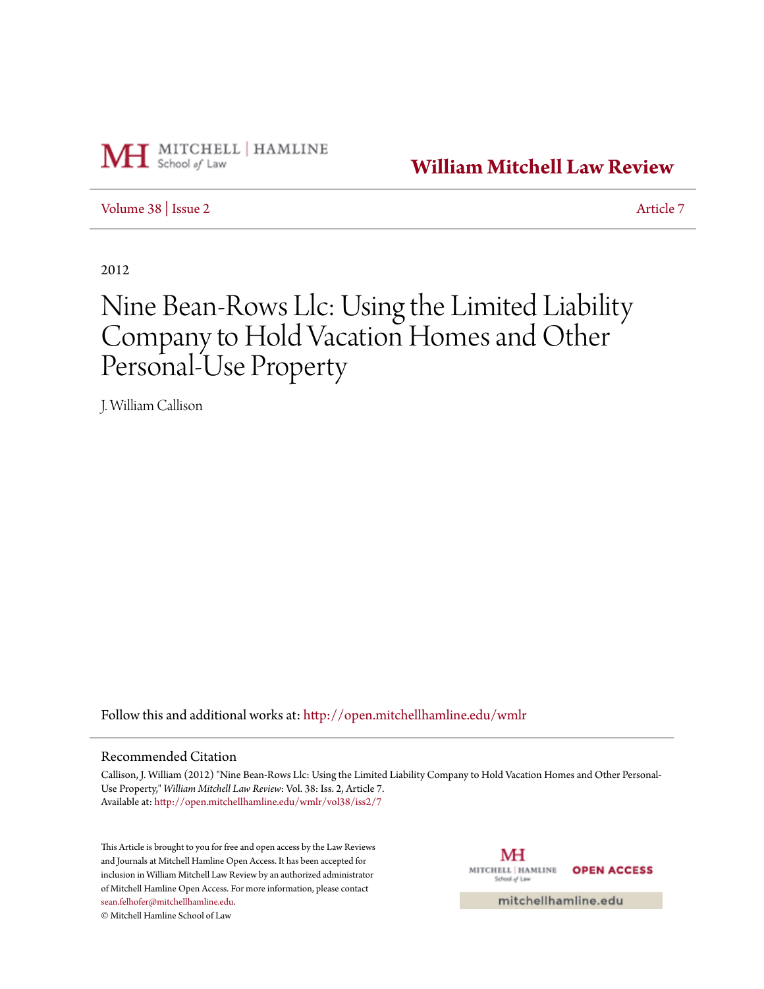

**[William Mitchell Law Review](http://open.mitchellhamline.edu/wmlr?utm_source=open.mitchellhamline.edu%2Fwmlr%2Fvol38%2Fiss2%2F7&utm_medium=PDF&utm_campaign=PDFCoverPages)**

[Volume 38](http://open.mitchellhamline.edu/wmlr/vol38?utm_source=open.mitchellhamline.edu%2Fwmlr%2Fvol38%2Fiss2%2F7&utm_medium=PDF&utm_campaign=PDFCoverPages) | [Issue 2](http://open.mitchellhamline.edu/wmlr/vol38/iss2?utm_source=open.mitchellhamline.edu%2Fwmlr%2Fvol38%2Fiss2%2F7&utm_medium=PDF&utm_campaign=PDFCoverPages) [Article 7](http://open.mitchellhamline.edu/wmlr/vol38/iss2/7?utm_source=open.mitchellhamline.edu%2Fwmlr%2Fvol38%2Fiss2%2F7&utm_medium=PDF&utm_campaign=PDFCoverPages)

2012

# Nine Bean-Rows Llc: Using the Limited Liability Company to Hold Vacation Homes and Other Personal-Use Property

J. William Callison

Follow this and additional works at: [http://open.mitchellhamline.edu/wmlr](http://open.mitchellhamline.edu/wmlr?utm_source=open.mitchellhamline.edu%2Fwmlr%2Fvol38%2Fiss2%2F7&utm_medium=PDF&utm_campaign=PDFCoverPages)

# Recommended Citation

Callison, J. William (2012) "Nine Bean-Rows Llc: Using the Limited Liability Company to Hold Vacation Homes and Other Personal-Use Property," *William Mitchell Law Review*: Vol. 38: Iss. 2, Article 7. Available at: [http://open.mitchellhamline.edu/wmlr/vol38/iss2/7](http://open.mitchellhamline.edu/wmlr/vol38/iss2/7?utm_source=open.mitchellhamline.edu%2Fwmlr%2Fvol38%2Fiss2%2F7&utm_medium=PDF&utm_campaign=PDFCoverPages)

This Article is brought to you for free and open access by the Law Reviews and Journals at Mitchell Hamline Open Access. It has been accepted for inclusion in William Mitchell Law Review by an authorized administrator of Mitchell Hamline Open Access. For more information, please contact [sean.felhofer@mitchellhamline.edu](mailto:sean.felhofer@mitchellhamline.edu).

© Mitchell Hamline School of Law

МH MITCHELL | HAMLINE **OPEN ACCESS** School of Law

mitchellhamline.edu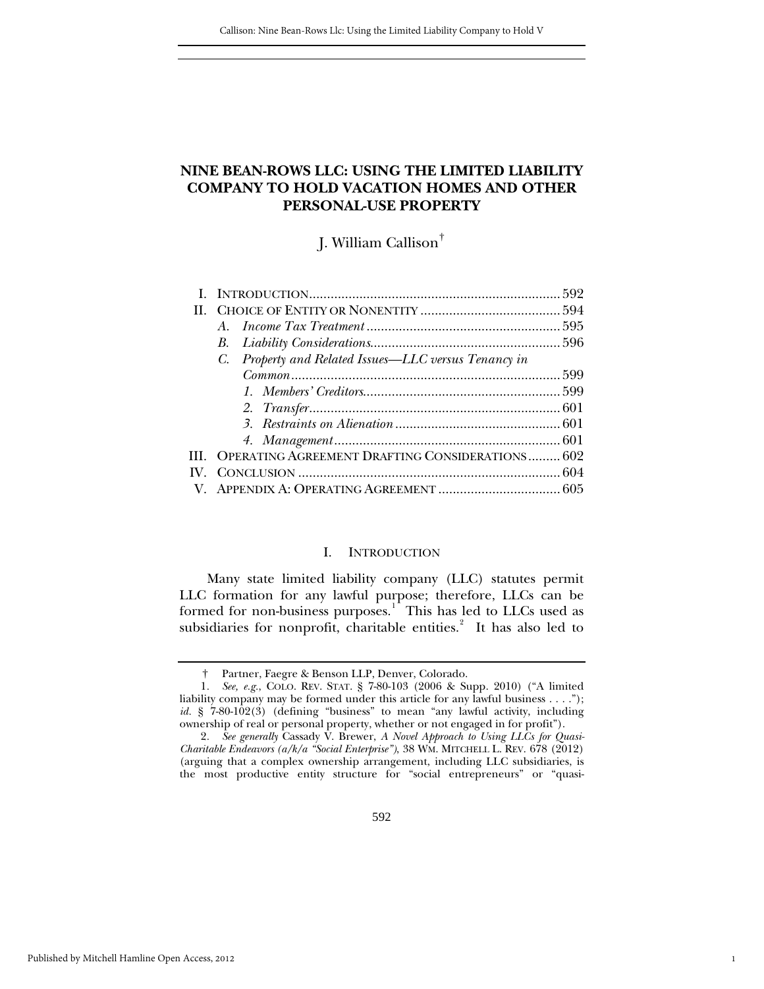# **NINE BEAN-ROWS LLC: USING THE LIMITED LIABILITY COMPANY TO HOLD VACATION HOMES AND OTHER PERSONAL-USE PROPERTY**

J. William Callison[†](#page-1-0)

| C. Property and Related Issues—LLC versus Tenancy in |  |
|------------------------------------------------------|--|
|                                                      |  |
|                                                      |  |
|                                                      |  |
|                                                      |  |
|                                                      |  |
| III. OPERATING AGREEMENT DRAFTING CONSIDERATIONS 602 |  |
|                                                      |  |
|                                                      |  |
|                                                      |  |

#### I. INTRODUCTION

<span id="page-1-3"></span>Many state limited liability company (LLC) statutes permit LLC formation for any lawful purpose; therefore, LLCs can be formed for non-business purposes.<sup>[1](#page-1-1)</sup> This has led to LLCs used as subsidiaries for nonprofit, charitable entities. $2$  It has also led to

1

† Partner, Faegre & Benson LLP, Denver, Colorado.

<span id="page-1-1"></span><span id="page-1-0"></span><sup>1</sup>*. See, e.g.*, COLO. REV. STAT. § 7-80-103 (2006 & Supp. 2010) ("A limited liability company may be formed under this article for any lawful business . . . ."); *id.* § 7-80-102(3) (defining "business" to mean "any lawful activity, including ownership of real or personal property, whether or not engaged in for profit").

<span id="page-1-2"></span><sup>2</sup>*. See generally* Cassady V. Brewer, *A Novel Approach to Using LLCs for Quasi-Charitable Endeavors (a/k/a "Social Enterprise")*, 38 WM. MITCHELL L. REV. 678 (2012) (arguing that a complex ownership arrangement, including LLC subsidiaries, is the most productive entity structure for "social entrepreneurs" or "quasi-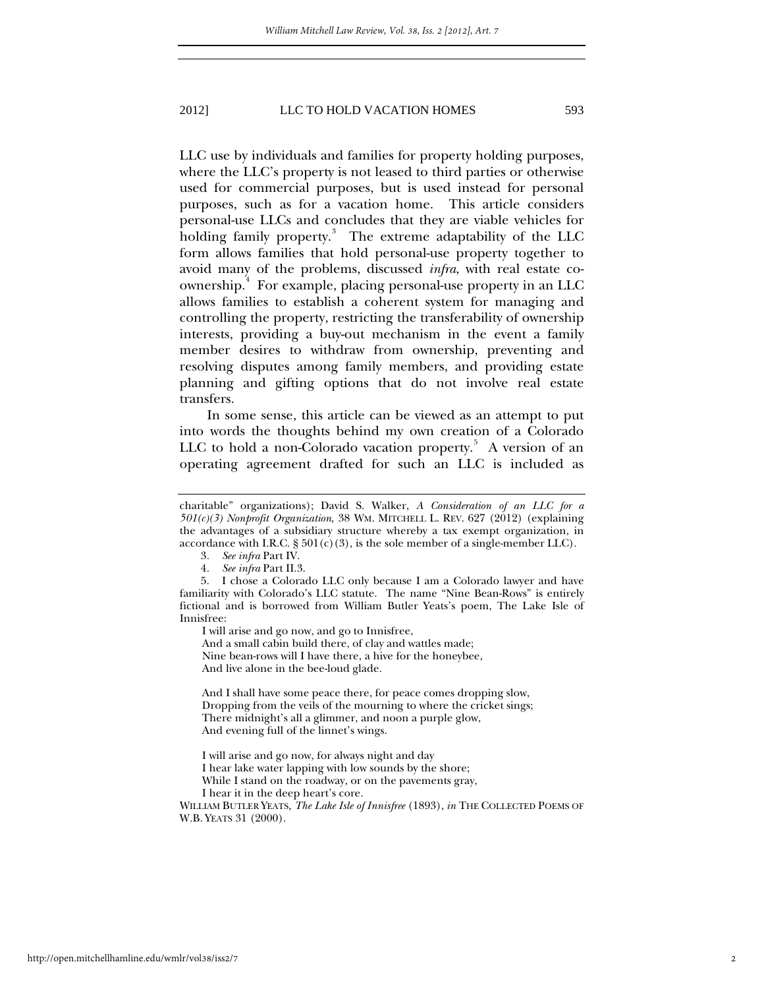LLC use by individuals and families for property holding purposes, where the LLC's property is not leased to third parties or otherwise used for commercial purposes, but is used instead for personal purposes, such as for a vacation home. This article considers personal-use LLCs and concludes that they are viable vehicles for holding family property.<sup>[3](#page-1-3)</sup> The extreme adaptability of the LLC form allows families that hold personal-use property together to avoid many of the problems, discussed *infra*, with real estate co-ownership.<sup>[4](#page-2-0)</sup> For example, placing personal-use property in an LLC allows families to establish a coherent system for managing and controlling the property, restricting the transferability of ownership interests, providing a buy-out mechanism in the event a family member desires to withdraw from ownership, preventing and resolving disputes among family members, and providing estate planning and gifting options that do not involve real estate transfers.

In some sense, this article can be viewed as an attempt to put into words the thoughts behind my own creation of a Colorado LLC to hold a non-Colorado vacation property.<sup>[5](#page-2-1)</sup> A version of an operating agreement drafted for such an LLC is included as

I will arise and go now, and go to Innisfree,

And a small cabin build there, of clay and wattles made; Nine bean-rows will I have there, a hive for the honeybee, And live alone in the bee-loud glade.

And I shall have some peace there, for peace comes dropping slow, Dropping from the veils of the mourning to where the cricket sings; There midnight's all a glimmer, and noon a purple glow, And evening full of the linnet's wings.

I will arise and go now, for always night and day

I hear lake water lapping with low sounds by the shore;

While I stand on the roadway, or on the pavements gray,

I hear it in the deep heart's core.

WILLIAM BUTLER YEATS, *The Lake Isle of Innisfree* (1893), *in* THE COLLECTED POEMS OF W.B. YEATS 31 (2000).

charitable" organizations); David S. Walker, *A Consideration of an LLC for a 501(c)(3) Nonprofit Organization*, 38 WM. MITCHELL L. REV. 627 (2012) (explaining the advantages of a subsidiary structure whereby a tax exempt organization, in accordance with I.R.C.  $\S 501(c)(3)$ , is the sole member of a single-member LLC).

<sup>3</sup>*. See infra* Part IV.

<sup>4</sup>*. See infra* Part II.3.

<span id="page-2-2"></span><span id="page-2-1"></span><span id="page-2-0"></span> <sup>5.</sup> I chose a Colorado LLC only because I am a Colorado lawyer and have familiarity with Colorado's LLC statute. The name "Nine Bean-Rows" is entirely fictional and is borrowed from William Butler Yeats's poem, The Lake Isle of Innisfree: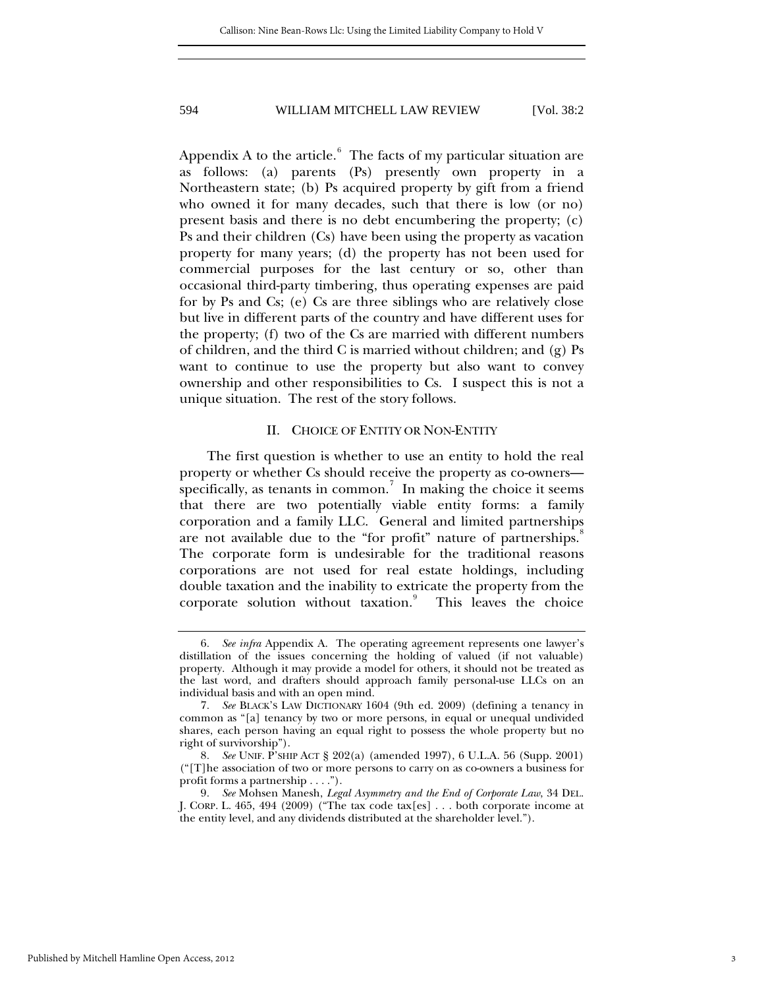Appendix A to the article. $^6$  $^6$  The facts of my particular situation are as follows: (a) parents (Ps) presently own property in a Northeastern state; (b) Ps acquired property by gift from a friend who owned it for many decades, such that there is low (or no) present basis and there is no debt encumbering the property; (c) Ps and their children (Cs) have been using the property as vacation property for many years; (d) the property has not been used for commercial purposes for the last century or so, other than occasional third-party timbering, thus operating expenses are paid for by Ps and Cs; (e) Cs are three siblings who are relatively close but live in different parts of the country and have different uses for the property; (f) two of the Cs are married with different numbers of children, and the third C is married without children; and (g) Ps want to continue to use the property but also want to convey ownership and other responsibilities to Cs. I suspect this is not a unique situation. The rest of the story follows.

## II. CHOICE OF ENTITY OR NON-ENTITY

The first question is whether to use an entity to hold the real property or whether Cs should receive the property as co-owners— specifically, as tenants in common.<sup>[7](#page-3-0)</sup> In making the choice it seems that there are two potentially viable entity forms: a family corporation and a family LLC. General and limited partnerships are not available due to the "for profit" nature of partnerships. The corporate form is undesirable for the traditional reasons corporations are not used for real estate holdings, including double taxation and the inability to extricate the property from the corporate solution without taxation.<sup>[9](#page-3-2)</sup> This leaves the choice

<span id="page-3-3"></span><sup>6</sup>*. See infra* Appendix A. The operating agreement represents one lawyer's distillation of the issues concerning the holding of valued (if not valuable) property. Although it may provide a model for others, it should not be treated as the last word, and drafters should approach family personal-use LLCs on an individual basis and with an open mind.

<span id="page-3-0"></span><sup>7</sup>*. See* BLACK'S LAW DICTIONARY 1604 (9th ed. 2009) (defining a tenancy in common as "[a] tenancy by two or more persons, in equal or unequal undivided shares, each person having an equal right to possess the whole property but no right of survivorship").

<span id="page-3-1"></span><sup>8</sup>*. See* UNIF. P'SHIP ACT § 202(a) (amended 1997), 6 U.L.A. 56 (Supp. 2001) ("[T]he association of two or more persons to carry on as co-owners a business for profit forms a partnership . . . .").

<span id="page-3-2"></span><sup>9</sup>*. See* Mohsen Manesh, *Legal Asymmetry and the End of Corporate Law*, 34 DEL. J. CORP. L. 465, 494 (2009) ("The tax code tax[es] . . . both corporate income at the entity level, and any dividends distributed at the shareholder level.").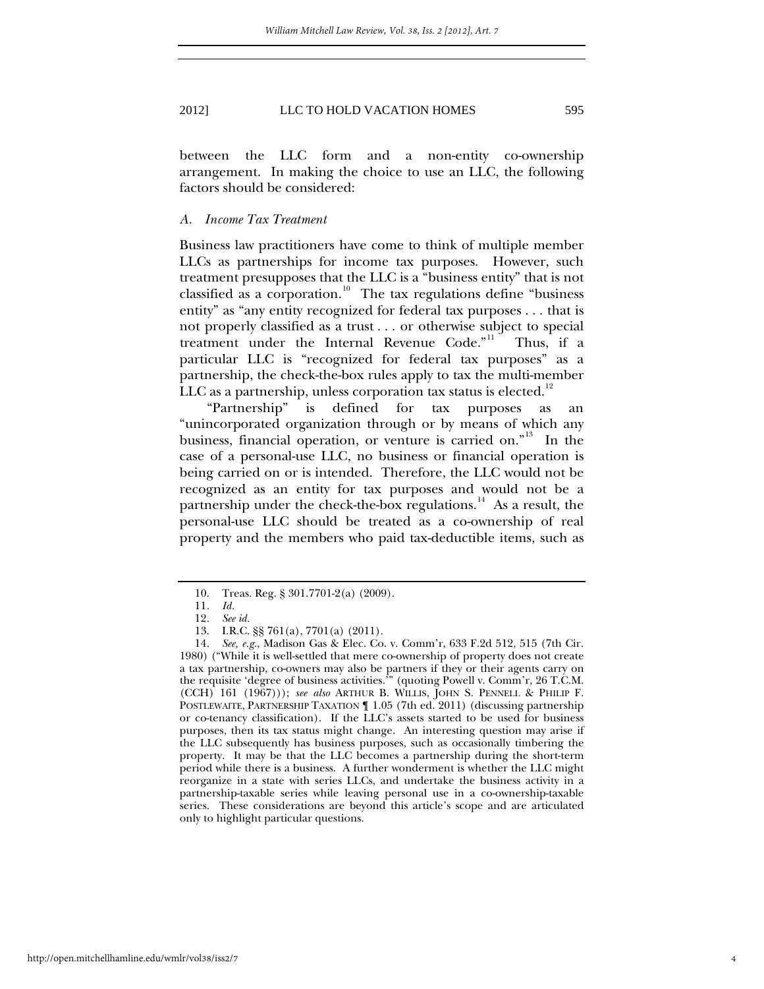between the LLC form and a non-entity co-ownership arrangement. In making the choice to use an LLC, the following factors should be considered:

## *A. Income Tax Treatment*

Business law practitioners have come to think of multiple member LLCs as partnerships for income tax purposes. However, such treatment presupposes that the LLC is a "business entity" that is not classified as a corporation.<sup>[10](#page-3-3)</sup> The tax regulations define "business entity" as "any entity recognized for federal tax purposes . . . that is not properly classified as a trust . . . or otherwise subject to special treatment under the Internal Revenue Code."<sup>[11](#page-4-0)</sup> Thus, if a particular LLC is "recognized for federal tax purposes" as a partnership, the check-the-box rules apply to tax the multi-member LLC as a partnership, unless corporation tax status is elected. $12$ 

"Partnership" is defined for tax purposes as an "unincorporated organization through or by means of which any business, financial operation, or venture is carried on."<sup>[13](#page-4-2)</sup> In the case of a personal-use LLC, no business or financial operation is being carried on or is intended. Therefore, the LLC would not be recognized as an entity for tax purposes and would not be a partnership under the check-the-box regulations.<sup>[14](#page-4-3)</sup> As a result, the personal-use LLC should be treated as a co-ownership of real property and the members who paid tax-deductible items, such as

 <sup>10.</sup> Treas. Reg. § 301.7701-2(a) (2009).

<sup>11</sup>*. Id.*

<sup>12</sup>*. See id.*

 <sup>13.</sup> I.R.C. §§ 761(a), 7701(a) (2011).

<span id="page-4-3"></span><span id="page-4-2"></span><span id="page-4-1"></span><span id="page-4-0"></span><sup>14</sup>*. See, e.g.*, Madison Gas & Elec. Co. v. Comm'r, 633 F.2d 512, 515 (7th Cir. 1980) ("While it is well-settled that mere co-ownership of property does not create a tax partnership, co-owners may also be partners if they or their agents carry on the requisite 'degree of business activities.'" (quoting Powell v. Comm'r, 26 T.C.M. (CCH) 161 (1967))); *see also* ARTHUR B. WILLIS, JOHN S. PENNELL & PHILIP F. POSTLEWAITE, PARTNERSHIP TAXATION ¶ 1.05 (7th ed. 2011) (discussing partnership or co-tenancy classification). If the LLC's assets started to be used for business purposes, then its tax status might change. An interesting question may arise if the LLC subsequently has business purposes, such as occasionally timbering the property. It may be that the LLC becomes a partnership during the short-term period while there is a business. A further wonderment is whether the LLC might reorganize in a state with series LLCs, and undertake the business activity in a partnership-taxable series while leaving personal use in a co-ownership-taxable series. These considerations are beyond this article's scope and are articulated only to highlight particular questions.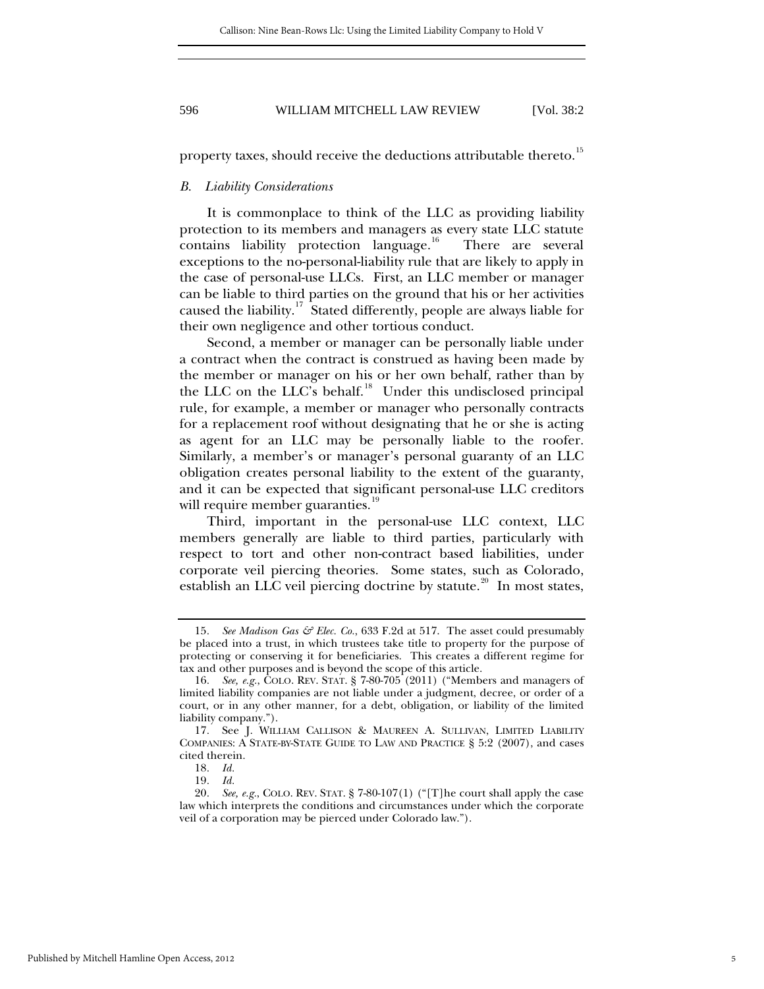property taxes, should receive the deductions attributable thereto.<sup>[15](#page-4-2)</sup>

#### *B. Liability Considerations*

It is commonplace to think of the LLC as providing liability protection to its members and managers as every state LLC statute contains liability protection language.<sup>[16](#page-5-0)</sup> There are several exceptions to the no-personal-liability rule that are likely to apply in the case of personal-use LLCs. First, an LLC member or manager can be liable to third parties on the ground that his or her activities caused the liability.<sup>[17](#page-5-1)</sup> Stated differently, people are always liable for their own negligence and other tortious conduct.

Second, a member or manager can be personally liable under a contract when the contract is construed as having been made by the member or manager on his or her own behalf, rather than by the LLC on the LLC's behalf.<sup>[18](#page-5-2)</sup> Under this undisclosed principal rule, for example, a member or manager who personally contracts for a replacement roof without designating that he or she is acting as agent for an LLC may be personally liable to the roofer. Similarly, a member's or manager's personal guaranty of an LLC obligation creates personal liability to the extent of the guaranty, and it can be expected that significant personal-use LLC creditors will require member guaranties.<sup>[19](#page-5-3)</sup>

Third, important in the personal-use LLC context, LLC members generally are liable to third parties, particularly with respect to tort and other non-contract based liabilities, under corporate veil piercing theories. Some states, such as Colorado, establish an LLC veil piercing doctrine by statute.<sup>[20](#page-5-4)</sup> In most states,

<span id="page-5-5"></span><sup>15</sup>*. See Madison Gas & Elec. Co.*, 633 F.2d at 517. The asset could presumably be placed into a trust, in which trustees take title to property for the purpose of protecting or conserving it for beneficiaries. This creates a different regime for tax and other purposes and is beyond the scope of this article.

<span id="page-5-0"></span><sup>16</sup>*. See, e.g.*, COLO. REV. STAT. § 7-80-705 (2011) ("Members and managers of limited liability companies are not liable under a judgment, decree, or order of a court, or in any other manner, for a debt, obligation, or liability of the limited liability company.").

<span id="page-5-1"></span><sup>17</sup>*.* See J. WILLIAM CALLISON & MAUREEN A. SULLIVAN, LIMITED LIABILITY COMPANIES: A STATE-BY-STATE GUIDE TO LAW AND PRACTICE § 5:2 (2007), and cases cited therein.

<sup>18</sup>*. Id.*

<sup>19</sup>*. Id.*

<span id="page-5-4"></span><span id="page-5-3"></span><span id="page-5-2"></span><sup>20</sup>*. See, e.g.*, COLO. REV. STAT. § 7-80-107(1) ("[T]he court shall apply the case law which interprets the conditions and circumstances under which the corporate veil of a corporation may be pierced under Colorado law.").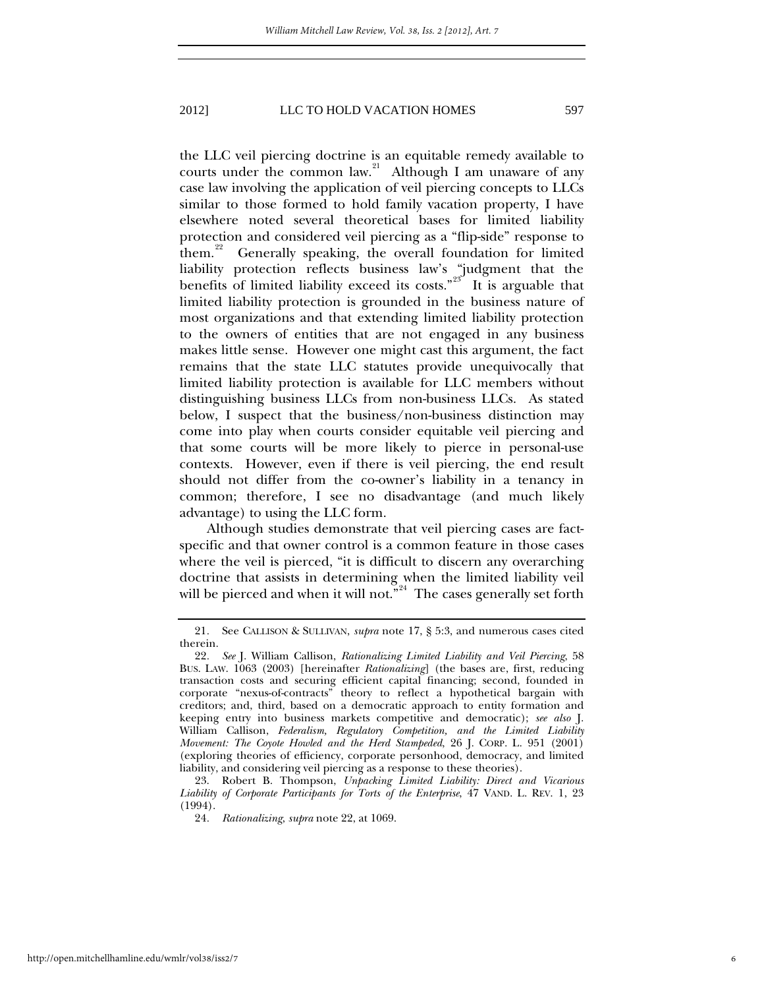the LLC veil piercing doctrine is an equitable remedy available to courts under the common law. $21$  Although I am unaware of any case law involving the application of veil piercing concepts to LLCs similar to those formed to hold family vacation property, I have elsewhere noted several theoretical bases for limited liability protection and considered veil piercing as a "flip-side" response to them.<sup>[22](#page-6-0)</sup> Generally speaking, the overall foundation for limited liability protection reflects business law's "judgment that the benefits of limited liability exceed its costs."<sup>[23](#page-6-1)</sup> It is arguable that limited liability protection is grounded in the business nature of most organizations and that extending limited liability protection to the owners of entities that are not engaged in any business makes little sense. However one might cast this argument, the fact remains that the state LLC statutes provide unequivocally that limited liability protection is available for LLC members without distinguishing business LLCs from non-business LLCs. As stated below, I suspect that the business/non-business distinction may come into play when courts consider equitable veil piercing and that some courts will be more likely to pierce in personal-use contexts. However, even if there is veil piercing, the end result should not differ from the co-owner's liability in a tenancy in common; therefore, I see no disadvantage (and much likely advantage) to using the LLC form.

<span id="page-6-3"></span>Although studies demonstrate that veil piercing cases are factspecific and that owner control is a common feature in those cases where the veil is pierced, "it is difficult to discern any overarching doctrine that assists in determining when the limited liability veil will be pierced and when it will not." $^{24}$  $^{24}$  $^{24}$  The cases generally set forth

<sup>21</sup>*.* See CALLISON & SULLIVAN, *supra* note 17, § 5:3, and numerous cases cited therein.

<span id="page-6-0"></span><sup>22</sup>*. See* J. William Callison, *Rationalizing Limited Liability and Veil Piercing*, 58 BUS. LAW. 1063 (2003) [hereinafter *Rationalizing*] (the bases are, first, reducing transaction costs and securing efficient capital financing; second, founded in corporate "nexus-of-contracts" theory to reflect a hypothetical bargain with creditors; and, third, based on a democratic approach to entity formation and keeping entry into business markets competitive and democratic); *see also* J. William Callison, *Federalism, Regulatory Competition, and the Limited Liability Movement: The Coyote Howled and the Herd Stampeded*, 26 J. CORP. L. 951 (2001) (exploring theories of efficiency, corporate personhood, democracy, and limited liability, and considering veil piercing as a response to these theories).

<span id="page-6-2"></span><span id="page-6-1"></span> <sup>23.</sup> Robert B. Thompson, *Unpacking Limited Liability: Direct and Vicarious Liability of Corporate Participants for Torts of the Enterprise*, 47 VAND. L. REV. 1, 23 (1994).

<sup>24</sup>*. Rationalizing*, *supra* note 22, at 1069.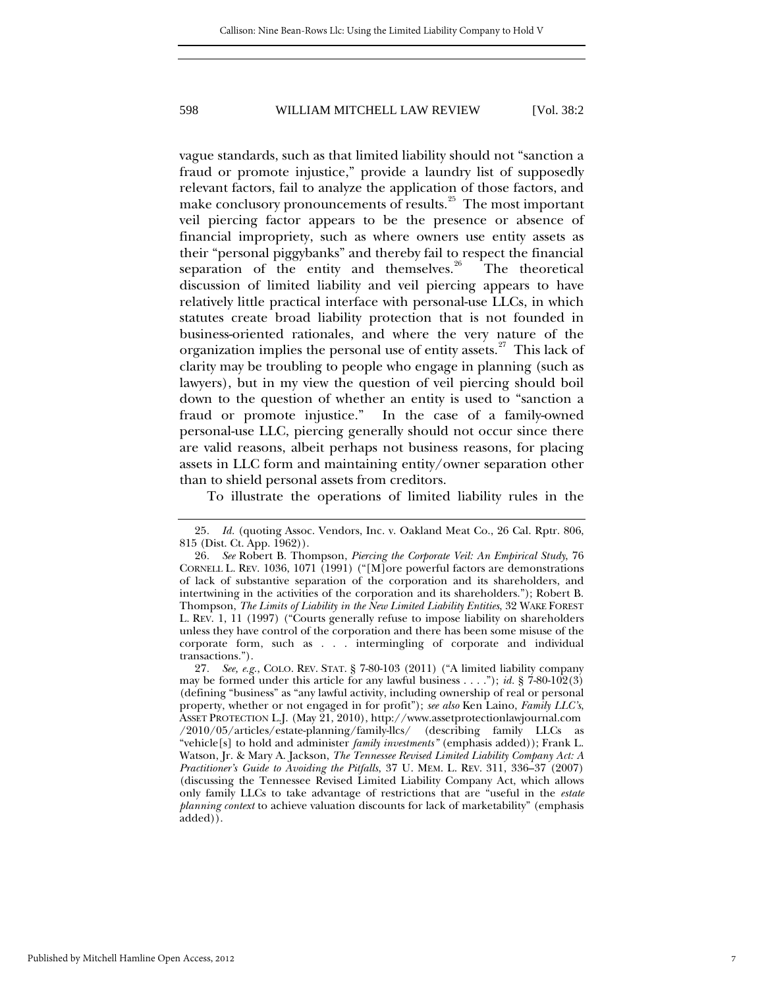vague standards, such as that limited liability should not "sanction a fraud or promote injustice," provide a laundry list of supposedly relevant factors, fail to analyze the application of those factors, and make conclusory pronouncements of results.<sup>[25](#page-6-3)</sup> The most important veil piercing factor appears to be the presence or absence of financial impropriety, such as where owners use entity assets as their "personal piggybanks" and thereby fail to respect the financial separation of the entity and themselves. $26$  The theoretical discussion of limited liability and veil piercing appears to have relatively little practical interface with personal-use LLCs, in which statutes create broad liability protection that is not founded in business-oriented rationales, and where the very nature of the organization implies the personal use of entity assets.<sup>[27](#page-7-1)</sup> This lack of clarity may be troubling to people who engage in planning (such as lawyers), but in my view the question of veil piercing should boil down to the question of whether an entity is used to "sanction a fraud or promote injustice." In the case of a family-owned personal-use LLC, piercing generally should not occur since there are valid reasons, albeit perhaps not business reasons, for placing assets in LLC form and maintaining entity/owner separation other than to shield personal assets from creditors.

To illustrate the operations of limited liability rules in the

<sup>25</sup>*. Id.* (quoting Assoc. Vendors, Inc. v. Oakland Meat Co., 26 Cal. Rptr. 806, 815 (Dist. Ct. App. 1962)).

<span id="page-7-0"></span><sup>26</sup>*. See* Robert B. Thompson, *Piercing the Corporate Veil: An Empirical Study*, 76 CORNELL L. REV. 1036, 1071 (1991) ("[M]ore powerful factors are demonstrations of lack of substantive separation of the corporation and its shareholders, and intertwining in the activities of the corporation and its shareholders."); Robert B. Thompson, *The Limits of Liability in the New Limited Liability Entities*, 32 WAKE FOREST L. REV. 1, 11 (1997) ("Courts generally refuse to impose liability on shareholders unless they have control of the corporation and there has been some misuse of the corporate form, such as . . . intermingling of corporate and individual transactions.").

<span id="page-7-2"></span><span id="page-7-1"></span><sup>27</sup>*. See, e.g.*, COLO. REV. STAT. § 7-80-103 (2011) ("A limited liability company may be formed under this article for any lawful business . . . ."); *id.* § 7-80-102(3) (defining "business" as "any lawful activity, including ownership of real or personal property, whether or not engaged in for profit"); *see also* Ken Laino, *Family LLC's*, ASSET PROTECTION L.J. (May 21, 2010), http://www.assetprotectionlawjournal.com /2010/05/articles/estate-planning/family-llcs/ (describing family LLCs as "vehicle[s] to hold and administer *family investments"* (emphasis added)); Frank L. Watson, Jr. & Mary A. Jackson, *The Tennessee Revised Limited Liability Company Act: A Practitioner's Guide to Avoiding the Pitfalls*, 37 U. MEM. L. REV. 311, 336–37 (2007) (discussing the Tennessee Revised Limited Liability Company Act, which allows only family LLCs to take advantage of restrictions that are "useful in the *estate planning context* to achieve valuation discounts for lack of marketability" (emphasis added)).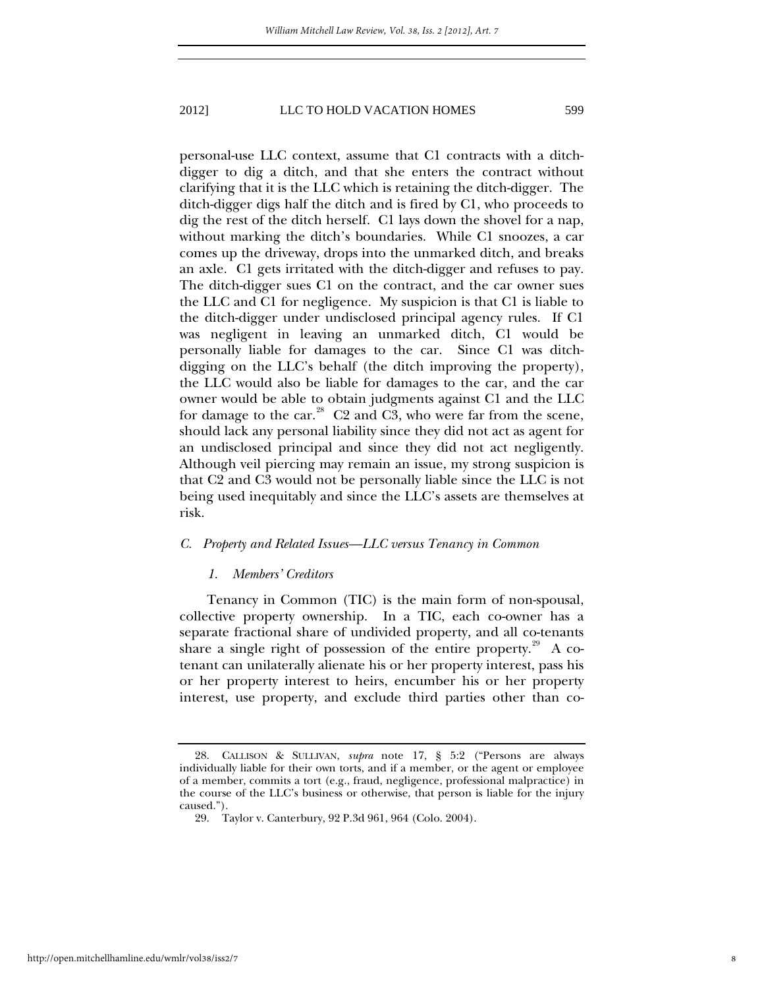personal-use LLC context, assume that C1 contracts with a ditchdigger to dig a ditch, and that she enters the contract without clarifying that it is the LLC which is retaining the ditch-digger. The ditch-digger digs half the ditch and is fired by C1, who proceeds to dig the rest of the ditch herself. C1 lays down the shovel for a nap, without marking the ditch's boundaries. While C1 snoozes, a car comes up the driveway, drops into the unmarked ditch, and breaks an axle. C1 gets irritated with the ditch-digger and refuses to pay. The ditch-digger sues C1 on the contract, and the car owner sues the LLC and C1 for negligence. My suspicion is that C1 is liable to the ditch-digger under undisclosed principal agency rules. If C1 was negligent in leaving an unmarked ditch, C1 would be personally liable for damages to the car. Since C1 was ditchdigging on the LLC's behalf (the ditch improving the property), the LLC would also be liable for damages to the car, and the car owner would be able to obtain judgments against C1 and the LLC for damage to the car. $28$  C2 and C3, who were far from the scene, should lack any personal liability since they did not act as agent for an undisclosed principal and since they did not act negligently. Although veil piercing may remain an issue, my strong suspicion is that C2 and C3 would not be personally liable since the LLC is not being used inequitably and since the LLC's assets are themselves at risk.

#### *C. Property and Related Issues—LLC versus Tenancy in Common*

#### *1. Members' Creditors*

Tenancy in Common (TIC) is the main form of non-spousal, collective property ownership. In a TIC, each co-owner has a separate fractional share of undivided property, and all co-tenants share a single right of possession of the entire property.<sup>29</sup> A cotenant can unilaterally alienate his or her property interest, pass his or her property interest to heirs, encumber his or her property interest, use property, and exclude third parties other than co-

<span id="page-8-0"></span>http://open.mitchellhamline.edu/wmlr/vol38/iss2/7

<span id="page-8-1"></span> <sup>28.</sup> CALLISON & SULLIVAN, *supra* note 17, § 5:2 ("Persons are always individually liable for their own torts, and if a member, or the agent or employee of a member, commits a tort (e.g., fraud, negligence, professional malpractice) in the course of the LLC's business or otherwise, that person is liable for the injury caused.").

 <sup>29.</sup> Taylor v. Canterbury, 92 P.3d 961, 964 (Colo. 2004).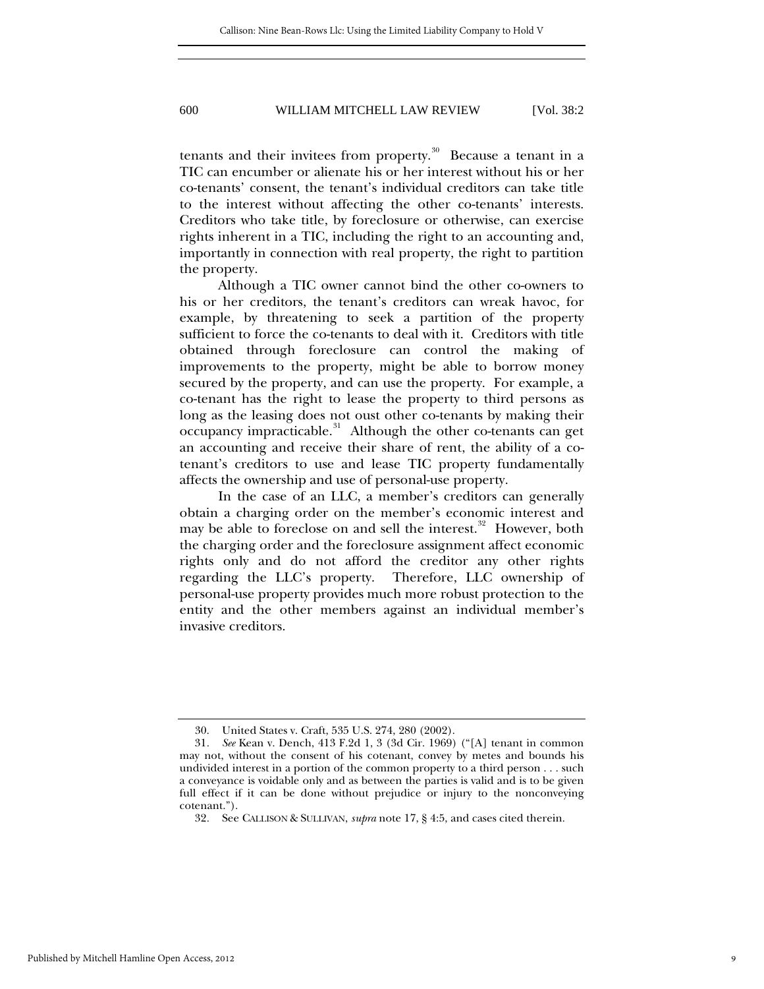tenants and their invitees from property. $30$  Because a tenant in a TIC can encumber or alienate his or her interest without his or her co-tenants' consent, the tenant's individual creditors can take title to the interest without affecting the other co-tenants' interests. Creditors who take title, by foreclosure or otherwise, can exercise rights inherent in a TIC, including the right to an accounting and, importantly in connection with real property, the right to partition the property.

Although a TIC owner cannot bind the other co-owners to his or her creditors, the tenant's creditors can wreak havoc, for example, by threatening to seek a partition of the property sufficient to force the co-tenants to deal with it. Creditors with title obtained through foreclosure can control the making of improvements to the property, might be able to borrow money secured by the property, and can use the property. For example, a co-tenant has the right to lease the property to third persons as long as the leasing does not oust other co-tenants by making their occupancy impracticable.<sup>[31](#page-9-0)</sup> Although the other co-tenants can get an accounting and receive their share of rent, the ability of a cotenant's creditors to use and lease TIC property fundamentally affects the ownership and use of personal-use property.

In the case of an LLC, a member's creditors can generally obtain a charging order on the member's economic interest and may be able to foreclose on and sell the interest.<sup>[32](#page-9-1)</sup> However, both the charging order and the foreclosure assignment affect economic rights only and do not afford the creditor any other rights regarding the LLC's property. Therefore, LLC ownership of personal-use property provides much more robust protection to the entity and the other members against an individual member's invasive creditors.

 <sup>30.</sup> United States v. Craft, 535 U.S. 274, 280 (2002).

<span id="page-9-2"></span><span id="page-9-0"></span><sup>31</sup>*. See* Kean v. Dench, 413 F.2d 1, 3 (3d Cir. 1969) ("[A] tenant in common may not, without the consent of his cotenant, convey by metes and bounds his undivided interest in a portion of the common property to a third person . . . such a conveyance is voidable only and as between the parties is valid and is to be given full effect if it can be done without prejudice or injury to the nonconveying cotenant.").

<span id="page-9-1"></span><sup>32</sup>*.* See CALLISON & SULLIVAN, *supra* note 17, § 4:5, and cases cited therein.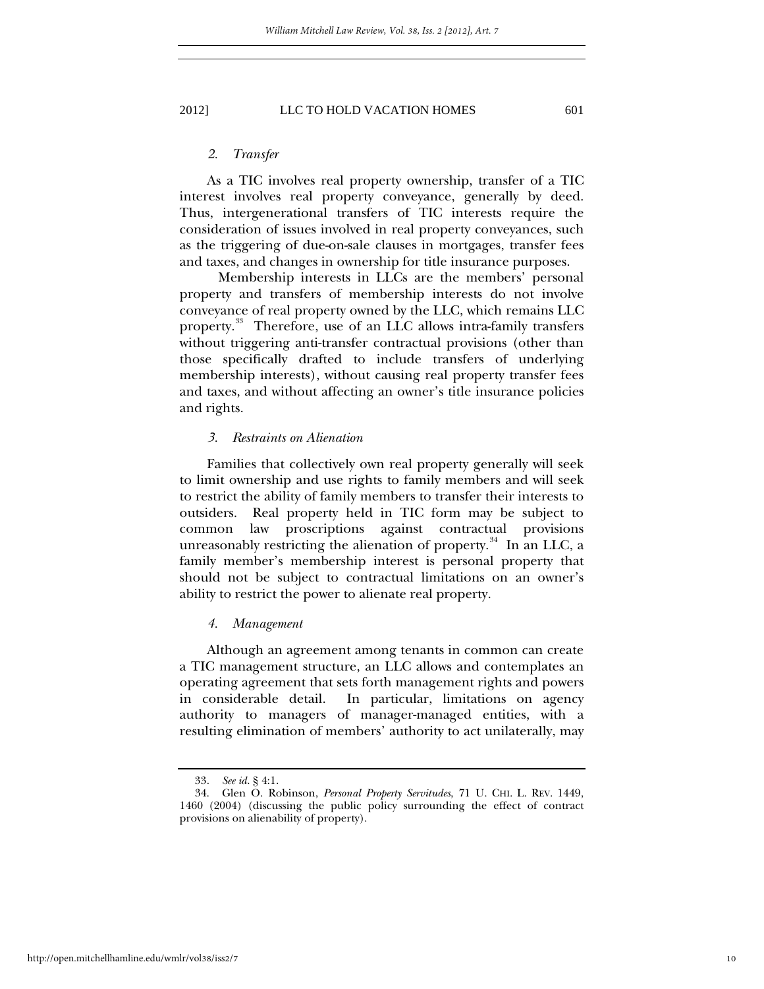## *2. Transfer*

As a TIC involves real property ownership, transfer of a TIC interest involves real property conveyance, generally by deed. Thus, intergenerational transfers of TIC interests require the consideration of issues involved in real property conveyances, such as the triggering of due-on-sale clauses in mortgages, transfer fees and taxes, and changes in ownership for title insurance purposes.

Membership interests in LLCs are the members' personal property and transfers of membership interests do not involve conveyance of real property owned by the LLC, which remains LLC property.<sup>[33](#page-9-2)</sup> Therefore, use of an LLC allows intra-family transfers without triggering anti-transfer contractual provisions (other than those specifically drafted to include transfers of underlying membership interests), without causing real property transfer fees and taxes, and without affecting an owner's title insurance policies and rights.

#### *3. Restraints on Alienation*

Families that collectively own real property generally will seek to limit ownership and use rights to family members and will seek to restrict the ability of family members to transfer their interests to outsiders. Real property held in TIC form may be subject to common law proscriptions against contractual provisions unreasonably restricting the alienation of property. $34$  In an LLC, a family member's membership interest is personal property that should not be subject to contractual limitations on an owner's ability to restrict the power to alienate real property.

## *4. Management*

Although an agreement among tenants in common can create a TIC management structure, an LLC allows and contemplates an operating agreement that sets forth management rights and powers in considerable detail. In particular, limitations on agency authority to managers of manager-managed entities, with a resulting elimination of members' authority to act unilaterally, may

<sup>33</sup>*. See id.* § 4:1.

<span id="page-10-0"></span> <sup>34.</sup> Glen O. Robinson, *Personal Property Servitudes*, 71 U. CHI. L. REV. 1449, 1460 (2004) (discussing the public policy surrounding the effect of contract provisions on alienability of property).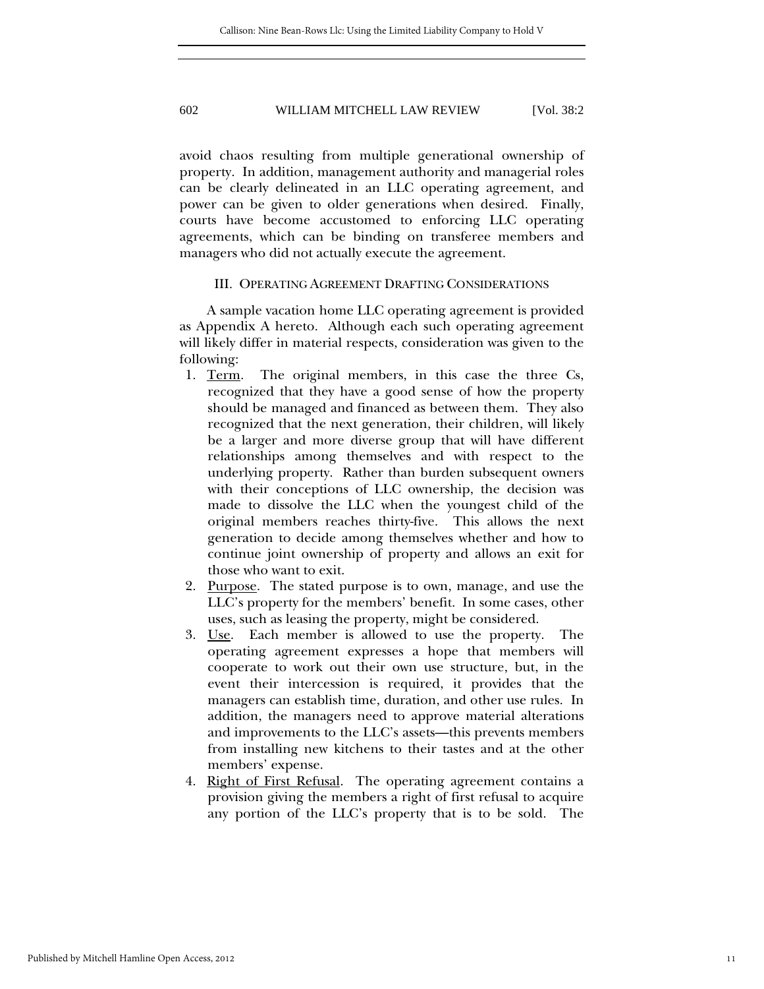avoid chaos resulting from multiple generational ownership of property. In addition, management authority and managerial roles can be clearly delineated in an LLC operating agreement, and power can be given to older generations when desired. Finally, courts have become accustomed to enforcing LLC operating agreements, which can be binding on transferee members and managers who did not actually execute the agreement.

## III. OPERATING AGREEMENT DRAFTING CONSIDERATIONS

A sample vacation home LLC operating agreement is provided as Appendix A hereto. Although each such operating agreement will likely differ in material respects, consideration was given to the following:

- 1. Term. The original members, in this case the three Cs, recognized that they have a good sense of how the property should be managed and financed as between them. They also recognized that the next generation, their children, will likely be a larger and more diverse group that will have different relationships among themselves and with respect to the underlying property. Rather than burden subsequent owners with their conceptions of LLC ownership, the decision was made to dissolve the LLC when the youngest child of the original members reaches thirty-five. This allows the next generation to decide among themselves whether and how to continue joint ownership of property and allows an exit for those who want to exit.
- 2. Purpose. The stated purpose is to own, manage, and use the LLC's property for the members' benefit. In some cases, other uses, such as leasing the property, might be considered.
- 3. Use. Each member is allowed to use the property. The operating agreement expresses a hope that members will cooperate to work out their own use structure, but, in the event their intercession is required, it provides that the managers can establish time, duration, and other use rules. In addition, the managers need to approve material alterations and improvements to the LLC's assets—this prevents members from installing new kitchens to their tastes and at the other members' expense.
- 4. Right of First Refusal. The operating agreement contains a provision giving the members a right of first refusal to acquire any portion of the LLC's property that is to be sold. The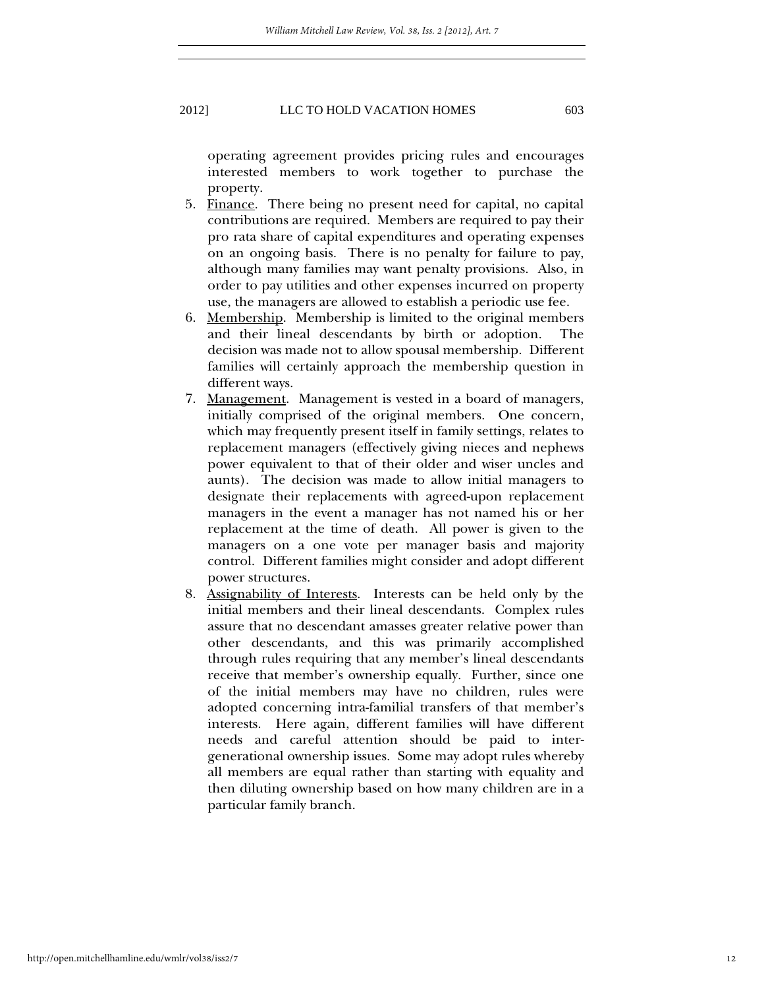operating agreement provides pricing rules and encourages interested members to work together to purchase the property.

- 5. Finance. There being no present need for capital, no capital contributions are required. Members are required to pay their pro rata share of capital expenditures and operating expenses on an ongoing basis. There is no penalty for failure to pay, although many families may want penalty provisions. Also, in order to pay utilities and other expenses incurred on property use, the managers are allowed to establish a periodic use fee.
- 6. Membership. Membership is limited to the original members and their lineal descendants by birth or adoption. The decision was made not to allow spousal membership. Different families will certainly approach the membership question in different ways.
- 7. Management. Management is vested in a board of managers, initially comprised of the original members. One concern, which may frequently present itself in family settings, relates to replacement managers (effectively giving nieces and nephews power equivalent to that of their older and wiser uncles and aunts). The decision was made to allow initial managers to designate their replacements with agreed-upon replacement managers in the event a manager has not named his or her replacement at the time of death. All power is given to the managers on a one vote per manager basis and majority control. Different families might consider and adopt different power structures.
- 8. Assignability of Interests. Interests can be held only by the initial members and their lineal descendants. Complex rules assure that no descendant amasses greater relative power than other descendants, and this was primarily accomplished through rules requiring that any member's lineal descendants receive that member's ownership equally. Further, since one of the initial members may have no children, rules were adopted concerning intra-familial transfers of that member's interests. Here again, different families will have different needs and careful attention should be paid to intergenerational ownership issues. Some may adopt rules whereby all members are equal rather than starting with equality and then diluting ownership based on how many children are in a particular family branch.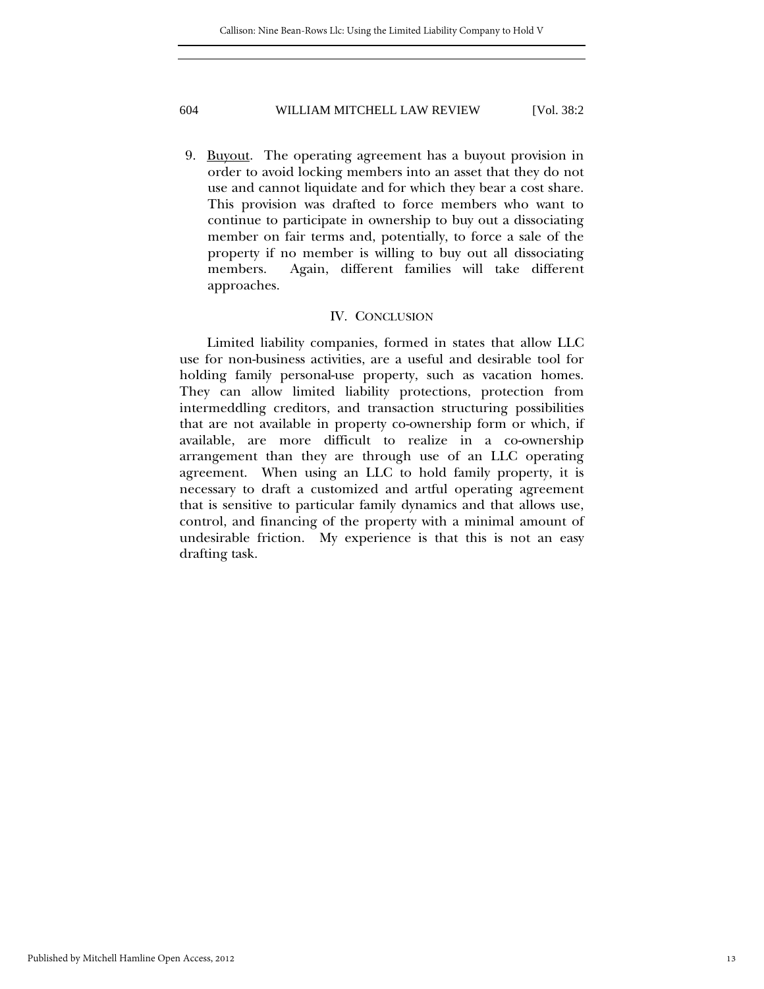9. <u>Buyout</u>. The operating agreement has a buyout provision in order to avoid locking members into an asset that they do not use and cannot liquidate and for which they bear a cost share. This provision was drafted to force members who want to continue to participate in ownership to buy out a dissociating member on fair terms and, potentially, to force a sale of the property if no member is willing to buy out all dissociating members. Again, different families will take different approaches.

## IV. CONCLUSION

Limited liability companies, formed in states that allow LLC use for non-business activities, are a useful and desirable tool for holding family personal-use property, such as vacation homes. They can allow limited liability protections, protection from intermeddling creditors, and transaction structuring possibilities that are not available in property co-ownership form or which, if available, are more difficult to realize in a co-ownership arrangement than they are through use of an LLC operating agreement. When using an LLC to hold family property, it is necessary to draft a customized and artful operating agreement that is sensitive to particular family dynamics and that allows use, control, and financing of the property with a minimal amount of undesirable friction. My experience is that this is not an easy drafting task.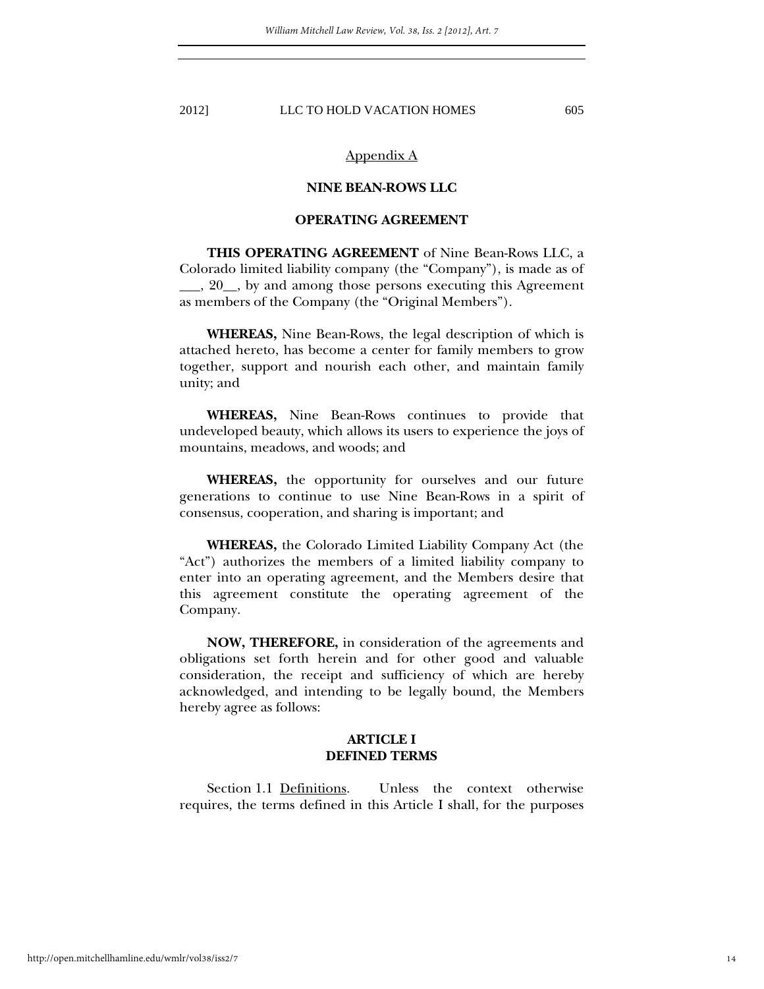## Appendix A

# **NINE BEAN-ROWS LLC**

# **OPERATING AGREEMENT**

**THIS OPERATING AGREEMENT** of Nine Bean-Rows LLC, a Colorado limited liability company (the "Company"), is made as of \_\_\_, 20\_\_, by and among those persons executing this Agreement as members of the Company (the "Original Members").

 **WHEREAS,** Nine Bean-Rows, the legal description of which is attached hereto, has become a center for family members to grow together, support and nourish each other, and maintain family unity; and

**WHEREAS,** Nine Bean-Rows continues to provide that undeveloped beauty, which allows its users to experience the joys of mountains, meadows, and woods; and

**WHEREAS,** the opportunity for ourselves and our future generations to continue to use Nine Bean-Rows in a spirit of consensus, cooperation, and sharing is important; and

**WHEREAS,** the Colorado Limited Liability Company Act (the "Act") authorizes the members of a limited liability company to enter into an operating agreement, and the Members desire that this agreement constitute the operating agreement of the Company.

**NOW, THEREFORE,** in consideration of the agreements and obligations set forth herein and for other good and valuable consideration, the receipt and sufficiency of which are hereby acknowledged, and intending to be legally bound, the Members hereby agree as follows:

# **ARTICLE I DEFINED TERMS**

Section 1.1 Definitions. Unless the context otherwise requires, the terms defined in this Article I shall, for the purposes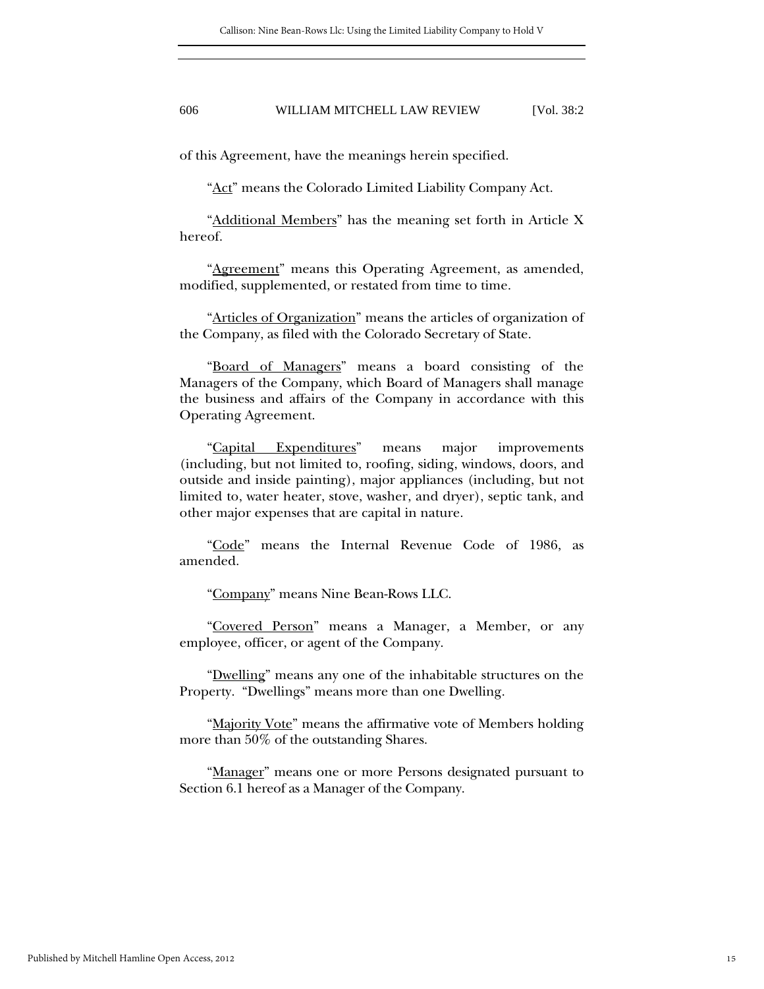of this Agreement, have the meanings herein specified.

"Act" means the Colorado Limited Liability Company Act.

"Additional Members" has the meaning set forth in Article X hereof.

"Agreement" means this Operating Agreement, as amended, modified, supplemented, or restated from time to time.

"Articles of Organization" means the articles of organization of the Company, as filed with the Colorado Secretary of State.

"Board of Managers" means a board consisting of the Managers of the Company, which Board of Managers shall manage the business and affairs of the Company in accordance with this Operating Agreement.

"Capital Expenditures" means major improvements (including, but not limited to, roofing, siding, windows, doors, and outside and inside painting), major appliances (including, but not limited to, water heater, stove, washer, and dryer), septic tank, and other major expenses that are capital in nature.

"Code" means the Internal Revenue Code of 1986, as amended.

"Company" means Nine Bean-Rows LLC.

"Covered Person" means a Manager, a Member, or any employee, officer, or agent of the Company.

"Dwelling" means any one of the inhabitable structures on the Property. "Dwellings" means more than one Dwelling.

"Majority Vote" means the affirmative vote of Members holding more than 50% of the outstanding Shares.

"Manager" means one or more Persons designated pursuant to Section 6.1 hereof as a Manager of the Company.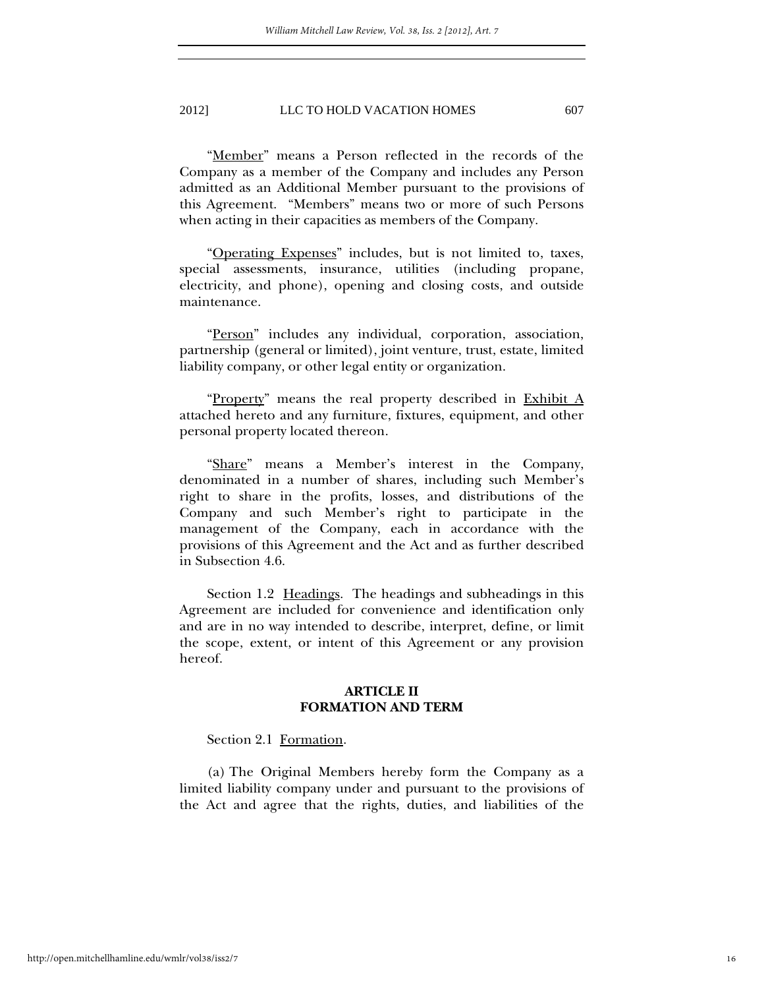"Member" means a Person reflected in the records of the Company as a member of the Company and includes any Person admitted as an Additional Member pursuant to the provisions of this Agreement. "Members" means two or more of such Persons when acting in their capacities as members of the Company.

"Operating Expenses" includes, but is not limited to, taxes, special assessments, insurance, utilities (including propane, electricity, and phone), opening and closing costs, and outside maintenance.

"Person" includes any individual, corporation, association, partnership (general or limited), joint venture, trust, estate, limited liability company, or other legal entity or organization.

"Property" means the real property described in Exhibit  $\overline{A}$ attached hereto and any furniture, fixtures, equipment, and other personal property located thereon.

"Share" means a Member's interest in the Company, denominated in a number of shares, including such Member's right to share in the profits, losses, and distributions of the Company and such Member's right to participate in the management of the Company, each in accordance with the provisions of this Agreement and the Act and as further described in Subsection 4.6.

Section 1.2 Headings. The headings and subheadings in this Agreement are included for convenience and identification only and are in no way intended to describe, interpret, define, or limit the scope, extent, or intent of this Agreement or any provision hereof.

## **ARTICLE II FORMATION AND TERM**

## Section 2.1 Formation.

(a) The Original Members hereby form the Company as a limited liability company under and pursuant to the provisions of the Act and agree that the rights, duties, and liabilities of the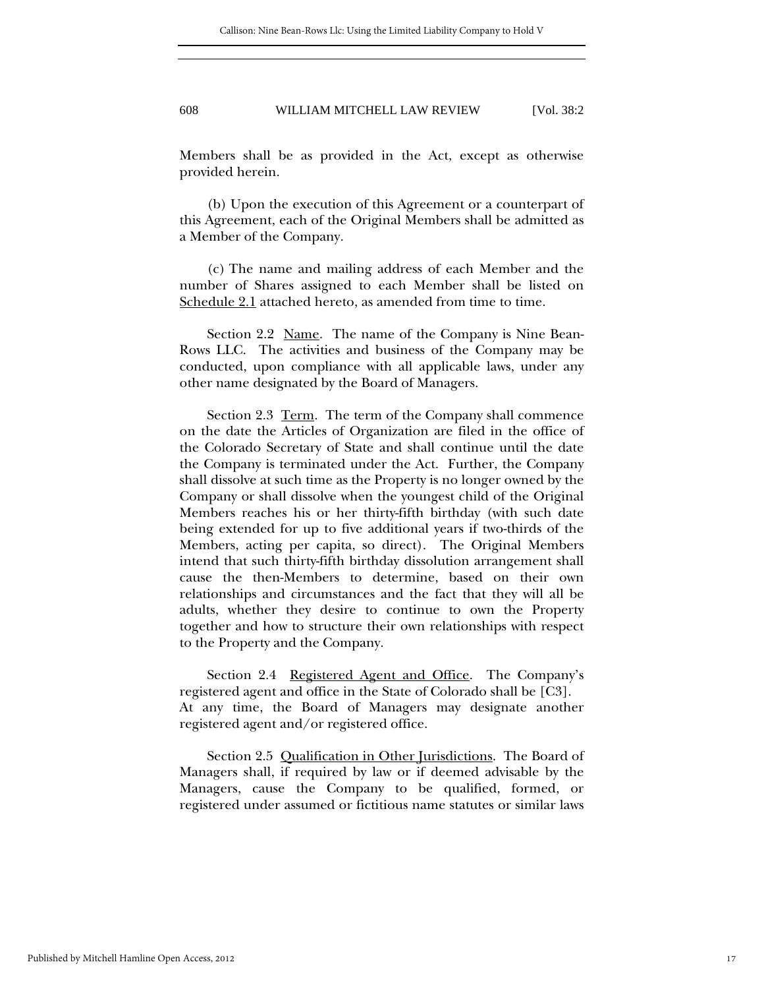Members shall be as provided in the Act, except as otherwise provided herein.

(b) Upon the execution of this Agreement or a counterpart of this Agreement, each of the Original Members shall be admitted as a Member of the Company.

(c) The name and mailing address of each Member and the number of Shares assigned to each Member shall be listed on Schedule 2.1 attached hereto, as amended from time to time.

Section 2.2 Name. The name of the Company is Nine Bean-Rows LLC. The activities and business of the Company may be conducted, upon compliance with all applicable laws, under any other name designated by the Board of Managers.

Section 2.3 Term. The term of the Company shall commence on the date the Articles of Organization are filed in the office of the Colorado Secretary of State and shall continue until the date the Company is terminated under the Act. Further, the Company shall dissolve at such time as the Property is no longer owned by the Company or shall dissolve when the youngest child of the Original Members reaches his or her thirty-fifth birthday (with such date being extended for up to five additional years if two-thirds of the Members, acting per capita, so direct). The Original Members intend that such thirty-fifth birthday dissolution arrangement shall cause the then-Members to determine, based on their own relationships and circumstances and the fact that they will all be adults, whether they desire to continue to own the Property together and how to structure their own relationships with respect to the Property and the Company.

Section 2.4 Registered Agent and Office. The Company's registered agent and office in the State of Colorado shall be [C3]. At any time, the Board of Managers may designate another registered agent and/or registered office.

Section 2.5 Qualification in Other Jurisdictions. The Board of Managers shall, if required by law or if deemed advisable by the Managers, cause the Company to be qualified, formed, or registered under assumed or fictitious name statutes or similar laws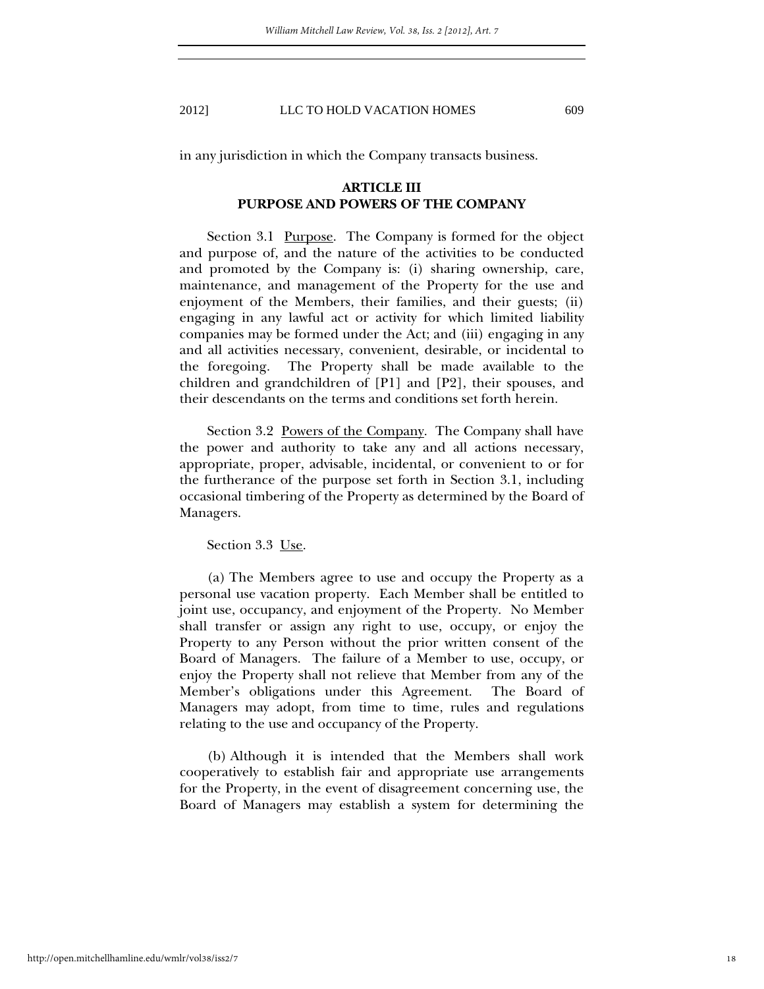in any jurisdiction in which the Company transacts business.

# **ARTICLE III PURPOSE AND POWERS OF THE COMPANY**

Section 3.1 <u>Purpose</u>. The Company is formed for the object and purpose of, and the nature of the activities to be conducted and promoted by the Company is: (i) sharing ownership, care, maintenance, and management of the Property for the use and enjoyment of the Members, their families, and their guests; (ii) engaging in any lawful act or activity for which limited liability companies may be formed under the Act; and (iii) engaging in any and all activities necessary, convenient, desirable, or incidental to the foregoing. The Property shall be made available to the children and grandchildren of [P1] and [P2], their spouses, and their descendants on the terms and conditions set forth herein.

Section 3.2 Powers of the Company. The Company shall have the power and authority to take any and all actions necessary, appropriate, proper, advisable, incidental, or convenient to or for the furtherance of the purpose set forth in Section 3.1, including occasional timbering of the Property as determined by the Board of Managers.

Section 3.3 Use.

(a) The Members agree to use and occupy the Property as a personal use vacation property. Each Member shall be entitled to joint use, occupancy, and enjoyment of the Property. No Member shall transfer or assign any right to use, occupy, or enjoy the Property to any Person without the prior written consent of the Board of Managers. The failure of a Member to use, occupy, or enjoy the Property shall not relieve that Member from any of the Member's obligations under this Agreement. The Board of Managers may adopt, from time to time, rules and regulations relating to the use and occupancy of the Property.

(b) Although it is intended that the Members shall work cooperatively to establish fair and appropriate use arrangements for the Property, in the event of disagreement concerning use, the Board of Managers may establish a system for determining the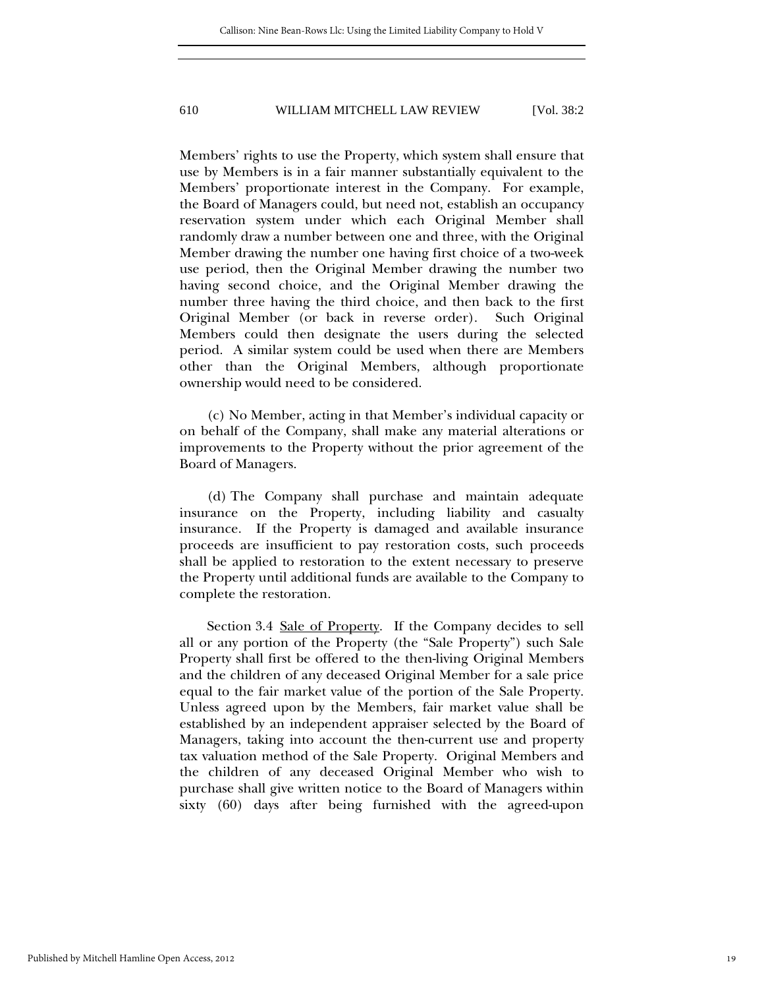Members' rights to use the Property, which system shall ensure that use by Members is in a fair manner substantially equivalent to the Members' proportionate interest in the Company. For example, the Board of Managers could, but need not, establish an occupancy reservation system under which each Original Member shall randomly draw a number between one and three, with the Original Member drawing the number one having first choice of a two-week use period, then the Original Member drawing the number two having second choice, and the Original Member drawing the number three having the third choice, and then back to the first Original Member (or back in reverse order). Such Original Members could then designate the users during the selected period. A similar system could be used when there are Members other than the Original Members, although proportionate ownership would need to be considered.

(c) No Member, acting in that Member's individual capacity or on behalf of the Company, shall make any material alterations or improvements to the Property without the prior agreement of the Board of Managers.

(d) The Company shall purchase and maintain adequate insurance on the Property, including liability and casualty insurance. If the Property is damaged and available insurance proceeds are insufficient to pay restoration costs, such proceeds shall be applied to restoration to the extent necessary to preserve the Property until additional funds are available to the Company to complete the restoration.

Section 3.4 Sale of Property. If the Company decides to sell all or any portion of the Property (the "Sale Property") such Sale Property shall first be offered to the then-living Original Members and the children of any deceased Original Member for a sale price equal to the fair market value of the portion of the Sale Property. Unless agreed upon by the Members, fair market value shall be established by an independent appraiser selected by the Board of Managers, taking into account the then-current use and property tax valuation method of the Sale Property. Original Members and the children of any deceased Original Member who wish to purchase shall give written notice to the Board of Managers within sixty (60) days after being furnished with the agreed-upon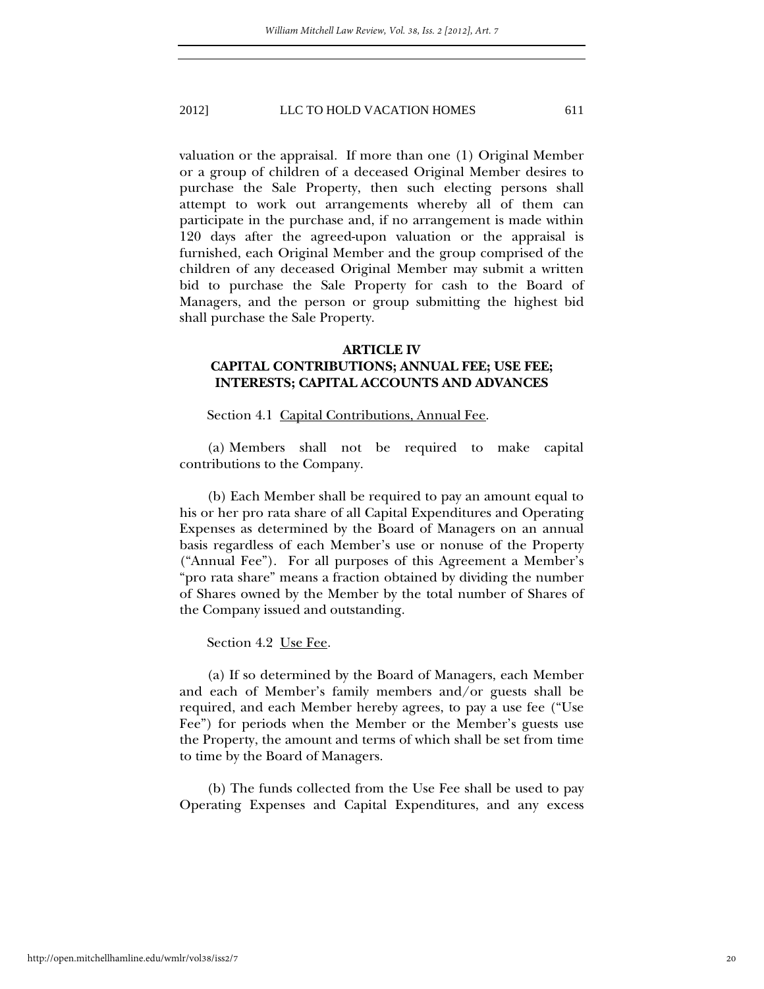valuation or the appraisal. If more than one (1) Original Member or a group of children of a deceased Original Member desires to purchase the Sale Property, then such electing persons shall attempt to work out arrangements whereby all of them can participate in the purchase and, if no arrangement is made within 120 days after the agreed-upon valuation or the appraisal is furnished, each Original Member and the group comprised of the children of any deceased Original Member may submit a written bid to purchase the Sale Property for cash to the Board of Managers, and the person or group submitting the highest bid shall purchase the Sale Property.

## **ARTICLE IV**

# **CAPITAL CONTRIBUTIONS; ANNUAL FEE; USE FEE; INTERESTS; CAPITAL ACCOUNTS AND ADVANCES**

## Section 4.1 Capital Contributions, Annual Fee.

(a) Members shall not be required to make capital contributions to the Company.

(b) Each Member shall be required to pay an amount equal to his or her pro rata share of all Capital Expenditures and Operating Expenses as determined by the Board of Managers on an annual basis regardless of each Member's use or nonuse of the Property ("Annual Fee"). For all purposes of this Agreement a Member's "pro rata share" means a fraction obtained by dividing the number of Shares owned by the Member by the total number of Shares of the Company issued and outstanding.

#### Section 4.2 Use Fee.

(a) If so determined by the Board of Managers, each Member and each of Member's family members and/or guests shall be required, and each Member hereby agrees, to pay a use fee ("Use Fee") for periods when the Member or the Member's guests use the Property, the amount and terms of which shall be set from time to time by the Board of Managers.

(b) The funds collected from the Use Fee shall be used to pay Operating Expenses and Capital Expenditures, and any excess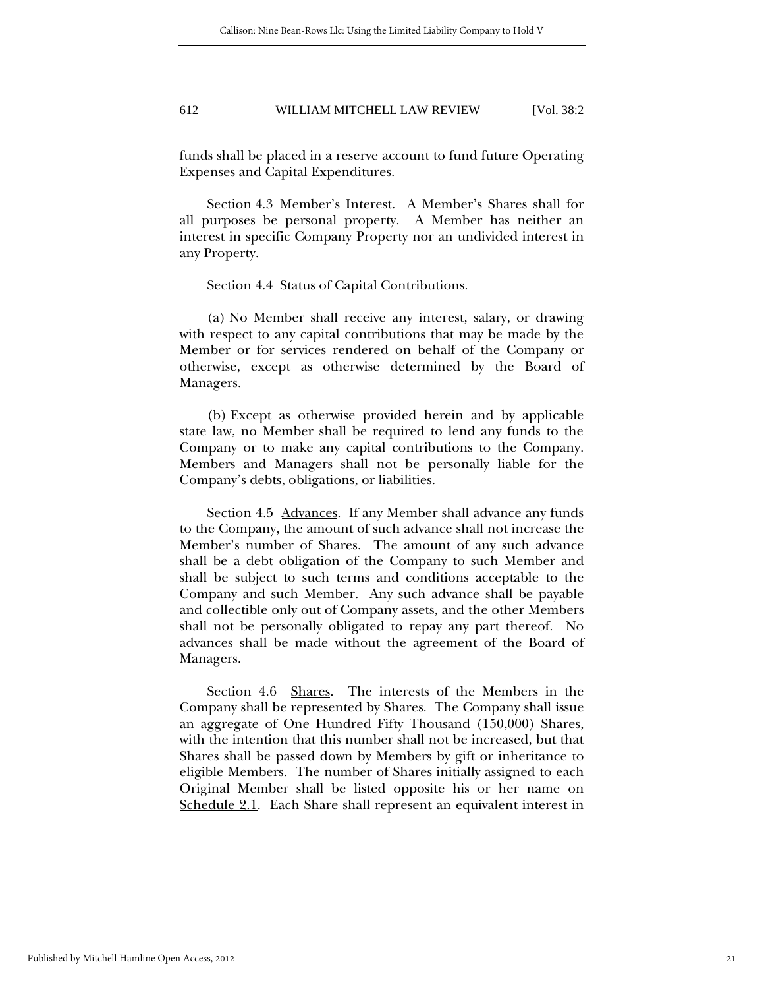funds shall be placed in a reserve account to fund future Operating Expenses and Capital Expenditures.

Section 4.3 Member's Interest. A Member's Shares shall for all purposes be personal property. A Member has neither an interest in specific Company Property nor an undivided interest in any Property.

#### Section 4.4 Status of Capital Contributions.

(a) No Member shall receive any interest, salary, or drawing with respect to any capital contributions that may be made by the Member or for services rendered on behalf of the Company or otherwise, except as otherwise determined by the Board of Managers.

(b) Except as otherwise provided herein and by applicable state law, no Member shall be required to lend any funds to the Company or to make any capital contributions to the Company. Members and Managers shall not be personally liable for the Company's debts, obligations, or liabilities.

Section 4.5 Advances. If any Member shall advance any funds to the Company, the amount of such advance shall not increase the Member's number of Shares. The amount of any such advance shall be a debt obligation of the Company to such Member and shall be subject to such terms and conditions acceptable to the Company and such Member. Any such advance shall be payable and collectible only out of Company assets, and the other Members shall not be personally obligated to repay any part thereof. No advances shall be made without the agreement of the Board of Managers.

Section 4.6 Shares. The interests of the Members in the Company shall be represented by Shares. The Company shall issue an aggregate of One Hundred Fifty Thousand (150,000) Shares, with the intention that this number shall not be increased, but that Shares shall be passed down by Members by gift or inheritance to eligible Members. The number of Shares initially assigned to each Original Member shall be listed opposite his or her name on Schedule 2.1. Each Share shall represent an equivalent interest in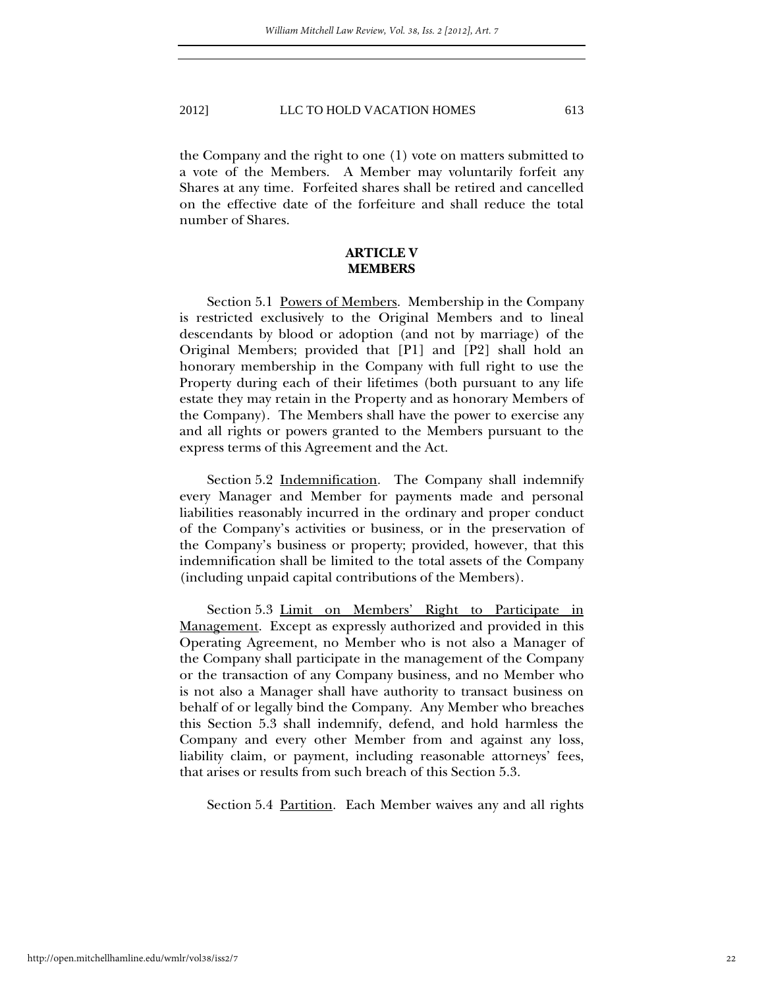the Company and the right to one (1) vote on matters submitted to a vote of the Members. A Member may voluntarily forfeit any Shares at any time. Forfeited shares shall be retired and cancelled on the effective date of the forfeiture and shall reduce the total number of Shares.

## **ARTICLE V MEMBERS**

Section 5.1 Powers of Members. Membership in the Company is restricted exclusively to the Original Members and to lineal descendants by blood or adoption (and not by marriage) of the Original Members; provided that [P1] and [P2] shall hold an honorary membership in the Company with full right to use the Property during each of their lifetimes (both pursuant to any life estate they may retain in the Property and as honorary Members of the Company). The Members shall have the power to exercise any and all rights or powers granted to the Members pursuant to the express terms of this Agreement and the Act.

Section 5.2 Indemnification. The Company shall indemnify every Manager and Member for payments made and personal liabilities reasonably incurred in the ordinary and proper conduct of the Company's activities or business, or in the preservation of the Company's business or property; provided, however, that this indemnification shall be limited to the total assets of the Company (including unpaid capital contributions of the Members).

Section 5.3 Limit on Members' Right to Participate in Management. Except as expressly authorized and provided in this Operating Agreement, no Member who is not also a Manager of the Company shall participate in the management of the Company or the transaction of any Company business, and no Member who is not also a Manager shall have authority to transact business on behalf of or legally bind the Company. Any Member who breaches this Section 5.3 shall indemnify, defend, and hold harmless the Company and every other Member from and against any loss, liability claim, or payment, including reasonable attorneys' fees, that arises or results from such breach of this Section 5.3.

Section 5.4 <u>Partition</u>. Each Member waives any and all rights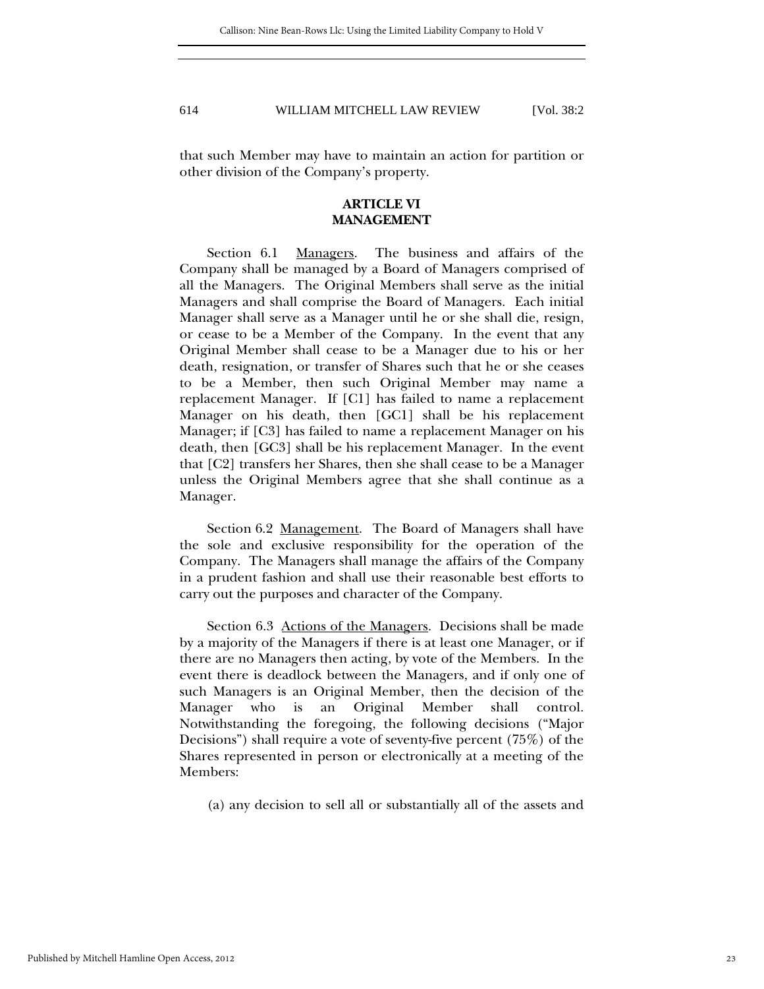that such Member may have to maintain an action for partition or other division of the Company's property.

# **ARTICLE VI MANAGEMENT**

Section 6.1 Managers. The business and affairs of the Company shall be managed by a Board of Managers comprised of all the Managers. The Original Members shall serve as the initial Managers and shall comprise the Board of Managers. Each initial Manager shall serve as a Manager until he or she shall die, resign, or cease to be a Member of the Company. In the event that any Original Member shall cease to be a Manager due to his or her death, resignation, or transfer of Shares such that he or she ceases to be a Member, then such Original Member may name a replacement Manager. If [C1] has failed to name a replacement Manager on his death, then [GC1] shall be his replacement Manager; if [C3] has failed to name a replacement Manager on his death, then [GC3] shall be his replacement Manager. In the event that [C2] transfers her Shares, then she shall cease to be a Manager unless the Original Members agree that she shall continue as a Manager.

Section 6.2 Management. The Board of Managers shall have the sole and exclusive responsibility for the operation of the Company. The Managers shall manage the affairs of the Company in a prudent fashion and shall use their reasonable best efforts to carry out the purposes and character of the Company.

Section 6.3 Actions of the Managers. Decisions shall be made by a majority of the Managers if there is at least one Manager, or if there are no Managers then acting, by vote of the Members. In the event there is deadlock between the Managers, and if only one of such Managers is an Original Member, then the decision of the Manager who is an Original Member shall control. Notwithstanding the foregoing, the following decisions ("Major Decisions") shall require a vote of seventy-five percent (75%) of the Shares represented in person or electronically at a meeting of the Members:

(a) any decision to sell all or substantially all of the assets and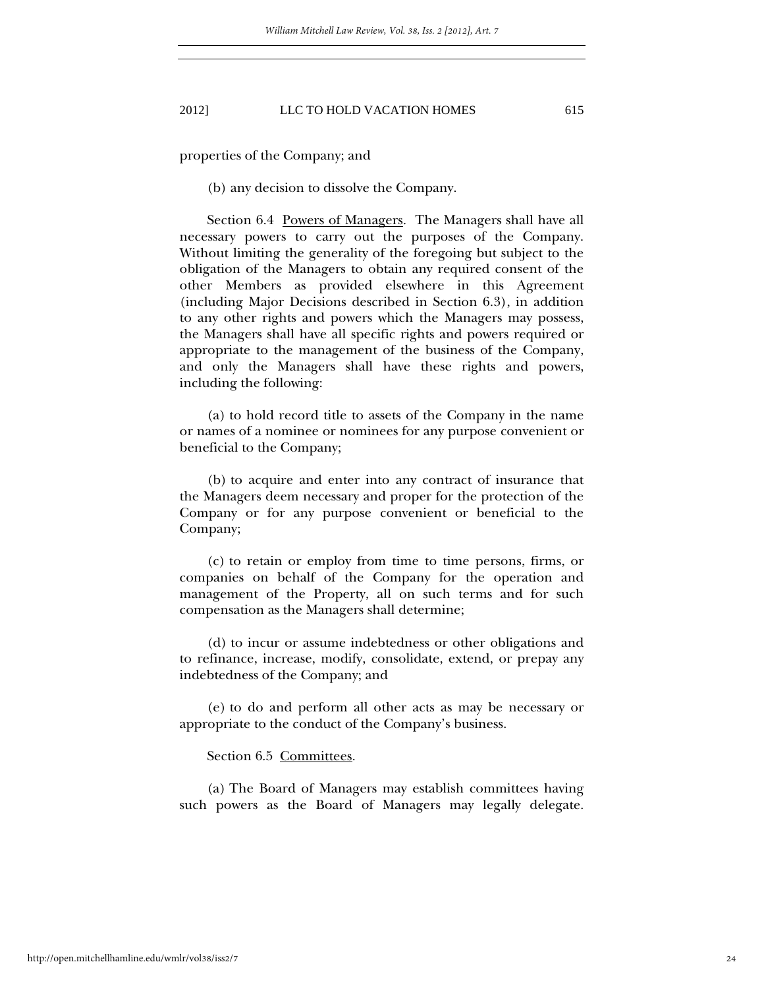properties of the Company; and

(b) any decision to dissolve the Company.

Section 6.4 Powers of Managers. The Managers shall have all necessary powers to carry out the purposes of the Company. Without limiting the generality of the foregoing but subject to the obligation of the Managers to obtain any required consent of the other Members as provided elsewhere in this Agreement (including Major Decisions described in Section 6.3), in addition to any other rights and powers which the Managers may possess, the Managers shall have all specific rights and powers required or appropriate to the management of the business of the Company, and only the Managers shall have these rights and powers, including the following:

(a) to hold record title to assets of the Company in the name or names of a nominee or nominees for any purpose convenient or beneficial to the Company;

(b) to acquire and enter into any contract of insurance that the Managers deem necessary and proper for the protection of the Company or for any purpose convenient or beneficial to the Company;

(c) to retain or employ from time to time persons, firms, or companies on behalf of the Company for the operation and management of the Property, all on such terms and for such compensation as the Managers shall determine;

(d) to incur or assume indebtedness or other obligations and to refinance, increase, modify, consolidate, extend, or prepay any indebtedness of the Company; and

(e) to do and perform all other acts as may be necessary or appropriate to the conduct of the Company's business.

Section 6.5 Committees.

(a) The Board of Managers may establish committees having such powers as the Board of Managers may legally delegate.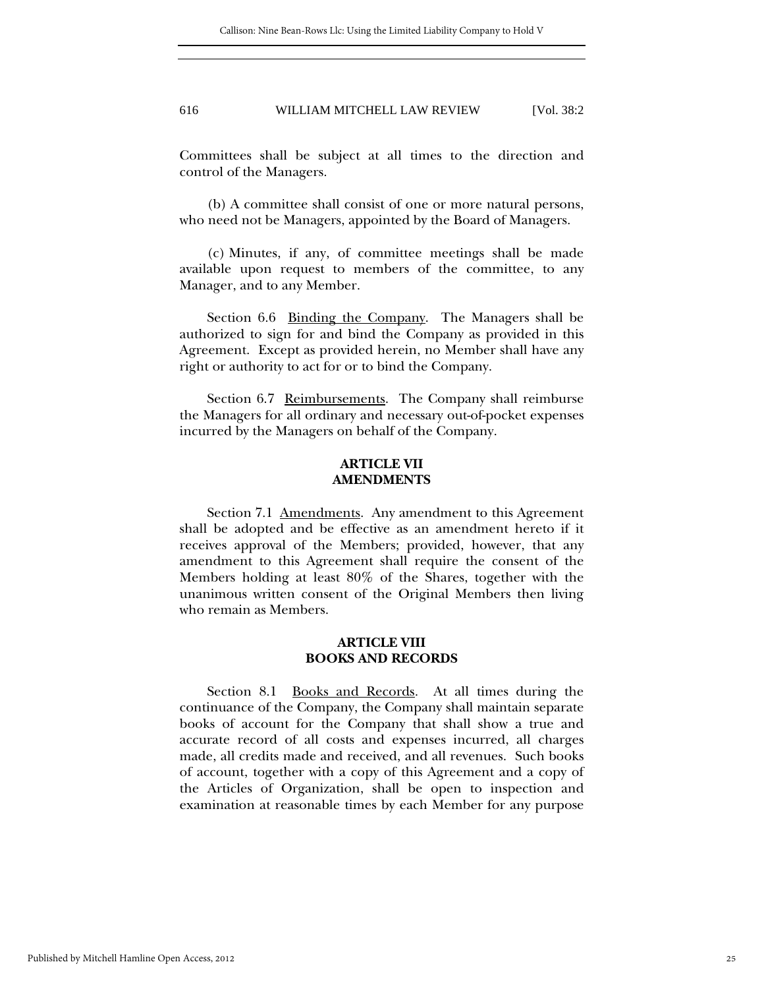Committees shall be subject at all times to the direction and control of the Managers.

(b) A committee shall consist of one or more natural persons, who need not be Managers, appointed by the Board of Managers.

(c) Minutes, if any, of committee meetings shall be made available upon request to members of the committee, to any Manager, and to any Member.

Section 6.6 Binding the Company. The Managers shall be authorized to sign for and bind the Company as provided in this Agreement. Except as provided herein, no Member shall have any right or authority to act for or to bind the Company.

Section 6.7 Reimbursements. The Company shall reimburse the Managers for all ordinary and necessary out-of-pocket expenses incurred by the Managers on behalf of the Company.

# **ARTICLE VII AMENDMENTS**

Section 7.1 <u>Amendments</u>. Any amendment to this Agreement shall be adopted and be effective as an amendment hereto if it receives approval of the Members; provided, however, that any amendment to this Agreement shall require the consent of the Members holding at least 80% of the Shares, together with the unanimous written consent of the Original Members then living who remain as Members.

## **ARTICLE VIII BOOKS AND RECORDS**

Section 8.1 <u>Books and Records</u>. At all times during the continuance of the Company, the Company shall maintain separate books of account for the Company that shall show a true and accurate record of all costs and expenses incurred, all charges made, all credits made and received, and all revenues. Such books of account, together with a copy of this Agreement and a copy of the Articles of Organization, shall be open to inspection and examination at reasonable times by each Member for any purpose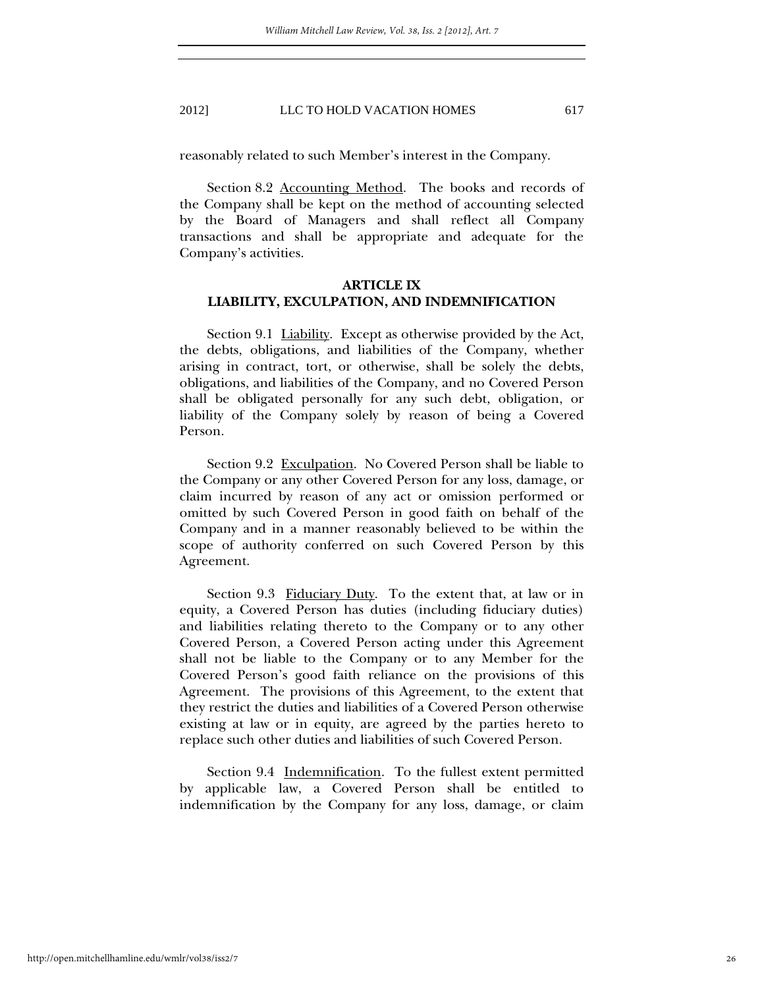reasonably related to such Member's interest in the Company.

Section 8.2 Accounting Method. The books and records of the Company shall be kept on the method of accounting selected by the Board of Managers and shall reflect all Company transactions and shall be appropriate and adequate for the Company's activities.

# **ARTICLE IX LIABILITY, EXCULPATION, AND INDEMNIFICATION**

Section 9.1 Liability. Except as otherwise provided by the Act, the debts, obligations, and liabilities of the Company, whether arising in contract, tort, or otherwise, shall be solely the debts, obligations, and liabilities of the Company, and no Covered Person shall be obligated personally for any such debt, obligation, or liability of the Company solely by reason of being a Covered Person.

Section 9.2 Exculpation. No Covered Person shall be liable to the Company or any other Covered Person for any loss, damage, or claim incurred by reason of any act or omission performed or omitted by such Covered Person in good faith on behalf of the Company and in a manner reasonably believed to be within the scope of authority conferred on such Covered Person by this Agreement.

Section 9.3 Fiduciary Duty. To the extent that, at law or in equity, a Covered Person has duties (including fiduciary duties) and liabilities relating thereto to the Company or to any other Covered Person, a Covered Person acting under this Agreement shall not be liable to the Company or to any Member for the Covered Person's good faith reliance on the provisions of this Agreement. The provisions of this Agreement, to the extent that they restrict the duties and liabilities of a Covered Person otherwise existing at law or in equity, are agreed by the parties hereto to replace such other duties and liabilities of such Covered Person.

Section 9.4 Indemnification. To the fullest extent permitted by applicable law, a Covered Person shall be entitled to indemnification by the Company for any loss, damage, or claim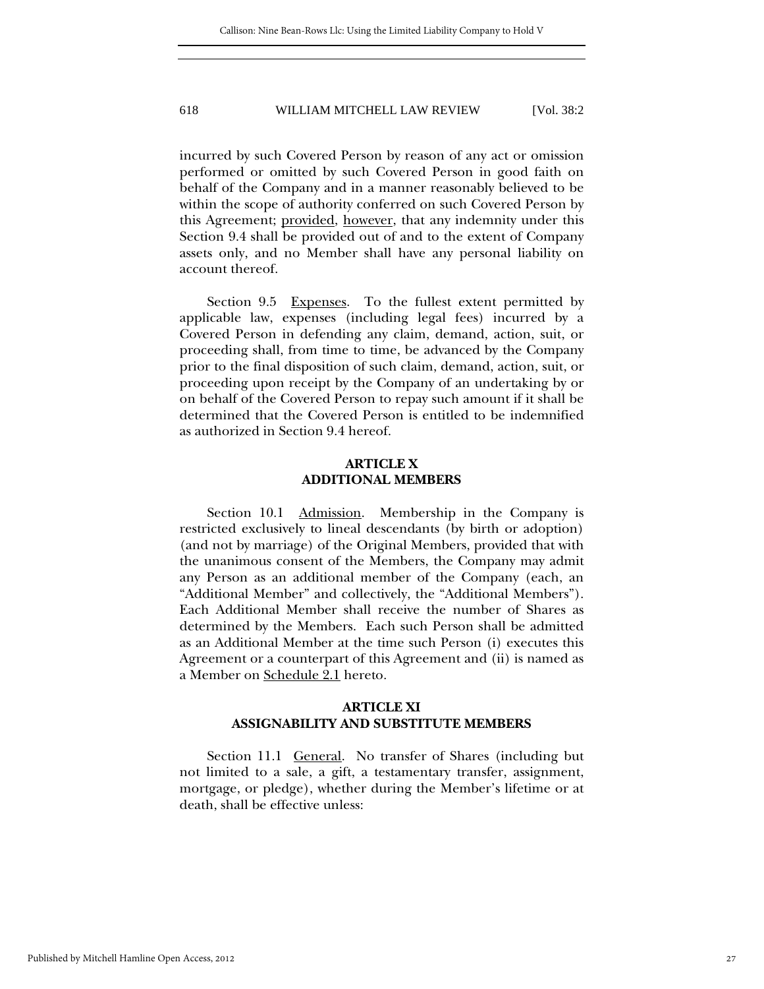incurred by such Covered Person by reason of any act or omission performed or omitted by such Covered Person in good faith on behalf of the Company and in a manner reasonably believed to be within the scope of authority conferred on such Covered Person by this Agreement; provided, however, that any indemnity under this Section 9.4 shall be provided out of and to the extent of Company assets only, and no Member shall have any personal liability on account thereof.

Section 9.5 Expenses. To the fullest extent permitted by applicable law, expenses (including legal fees) incurred by a Covered Person in defending any claim, demand, action, suit, or proceeding shall, from time to time, be advanced by the Company prior to the final disposition of such claim, demand, action, suit, or proceeding upon receipt by the Company of an undertaking by or on behalf of the Covered Person to repay such amount if it shall be determined that the Covered Person is entitled to be indemnified as authorized in Section 9.4 hereof.

# **ARTICLE X ADDITIONAL MEMBERS**

Section 10.1 Admission. Membership in the Company is restricted exclusively to lineal descendants (by birth or adoption) (and not by marriage) of the Original Members, provided that with the unanimous consent of the Members, the Company may admit any Person as an additional member of the Company (each, an "Additional Member" and collectively, the "Additional Members"). Each Additional Member shall receive the number of Shares as determined by the Members. Each such Person shall be admitted as an Additional Member at the time such Person (i) executes this Agreement or a counterpart of this Agreement and (ii) is named as a Member on Schedule 2.1 hereto.

# **ARTICLE XI ASSIGNABILITY AND SUBSTITUTE MEMBERS**

Section 11.1 General. No transfer of Shares (including but not limited to a sale, a gift, a testamentary transfer, assignment, mortgage, or pledge), whether during the Member's lifetime or at death, shall be effective unless: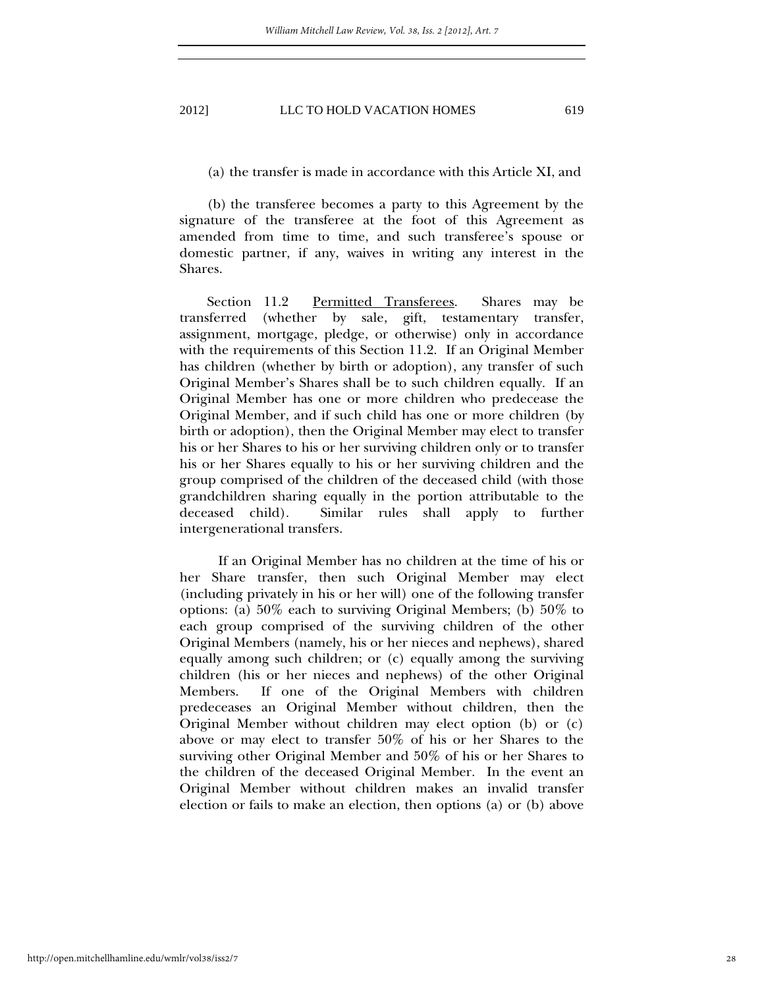# (a) the transfer is made in accordance with this Article XI, and

(b) the transferee becomes a party to this Agreement by the signature of the transferee at the foot of this Agreement as amended from time to time, and such transferee's spouse or domestic partner, if any, waives in writing any interest in the Shares.

Section 11.2 Permitted Transferees. Shares may be transferred (whether by sale, gift, testamentary transfer, assignment, mortgage, pledge, or otherwise) only in accordance with the requirements of this Section 11.2. If an Original Member has children (whether by birth or adoption), any transfer of such Original Member's Shares shall be to such children equally. If an Original Member has one or more children who predecease the Original Member, and if such child has one or more children (by birth or adoption), then the Original Member may elect to transfer his or her Shares to his or her surviving children only or to transfer his or her Shares equally to his or her surviving children and the group comprised of the children of the deceased child (with those grandchildren sharing equally in the portion attributable to the deceased child). Similar rules shall apply to further intergenerational transfers.

If an Original Member has no children at the time of his or her Share transfer, then such Original Member may elect (including privately in his or her will) one of the following transfer options: (a) 50% each to surviving Original Members; (b) 50% to each group comprised of the surviving children of the other Original Members (namely, his or her nieces and nephews), shared equally among such children; or (c) equally among the surviving children (his or her nieces and nephews) of the other Original Members. If one of the Original Members with children predeceases an Original Member without children, then the Original Member without children may elect option (b) or (c) above or may elect to transfer 50% of his or her Shares to the surviving other Original Member and 50% of his or her Shares to the children of the deceased Original Member. In the event an Original Member without children makes an invalid transfer election or fails to make an election, then options (a) or (b) above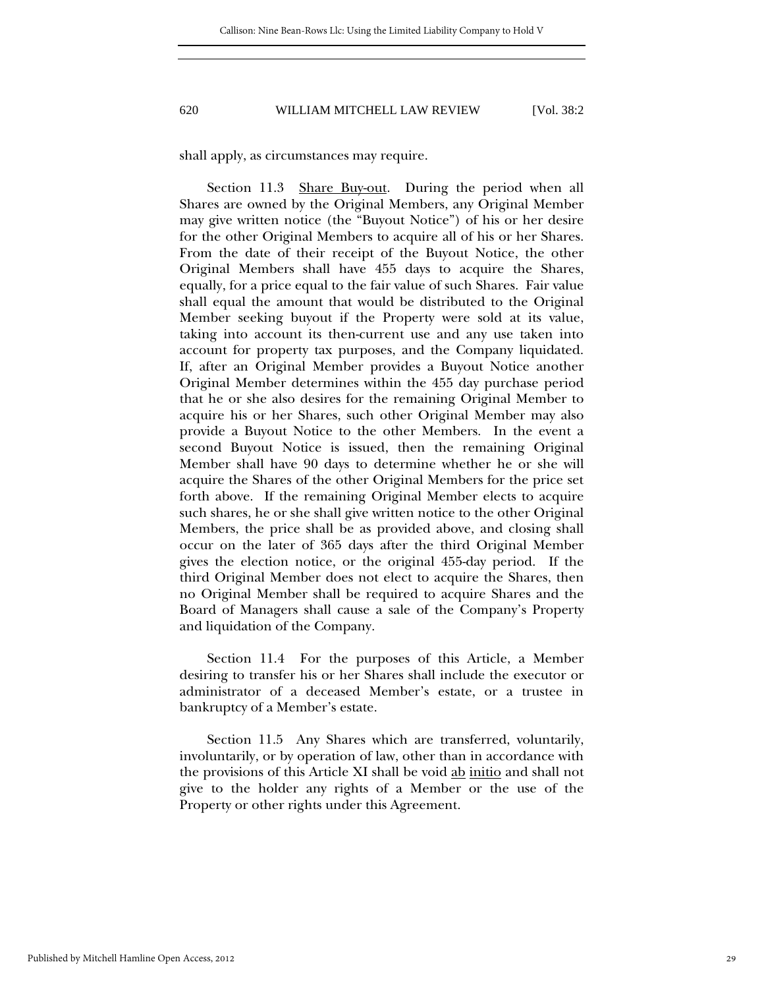shall apply, as circumstances may require.

Section 11.3 Share Buy-out. During the period when all Shares are owned by the Original Members, any Original Member may give written notice (the "Buyout Notice") of his or her desire for the other Original Members to acquire all of his or her Shares. From the date of their receipt of the Buyout Notice, the other Original Members shall have 455 days to acquire the Shares, equally, for a price equal to the fair value of such Shares. Fair value shall equal the amount that would be distributed to the Original Member seeking buyout if the Property were sold at its value, taking into account its then-current use and any use taken into account for property tax purposes, and the Company liquidated. If, after an Original Member provides a Buyout Notice another Original Member determines within the 455 day purchase period that he or she also desires for the remaining Original Member to acquire his or her Shares, such other Original Member may also provide a Buyout Notice to the other Members. In the event a second Buyout Notice is issued, then the remaining Original Member shall have 90 days to determine whether he or she will acquire the Shares of the other Original Members for the price set forth above. If the remaining Original Member elects to acquire such shares, he or she shall give written notice to the other Original Members, the price shall be as provided above, and closing shall occur on the later of 365 days after the third Original Member gives the election notice, or the original 455-day period. If the third Original Member does not elect to acquire the Shares, then no Original Member shall be required to acquire Shares and the Board of Managers shall cause a sale of the Company's Property and liquidation of the Company.

Section 11.4 For the purposes of this Article, a Member desiring to transfer his or her Shares shall include the executor or administrator of a deceased Member's estate, or a trustee in bankruptcy of a Member's estate.

Section 11.5 Any Shares which are transferred, voluntarily, involuntarily, or by operation of law, other than in accordance with the provisions of this Article XI shall be void ab initio and shall not give to the holder any rights of a Member or the use of the Property or other rights under this Agreement.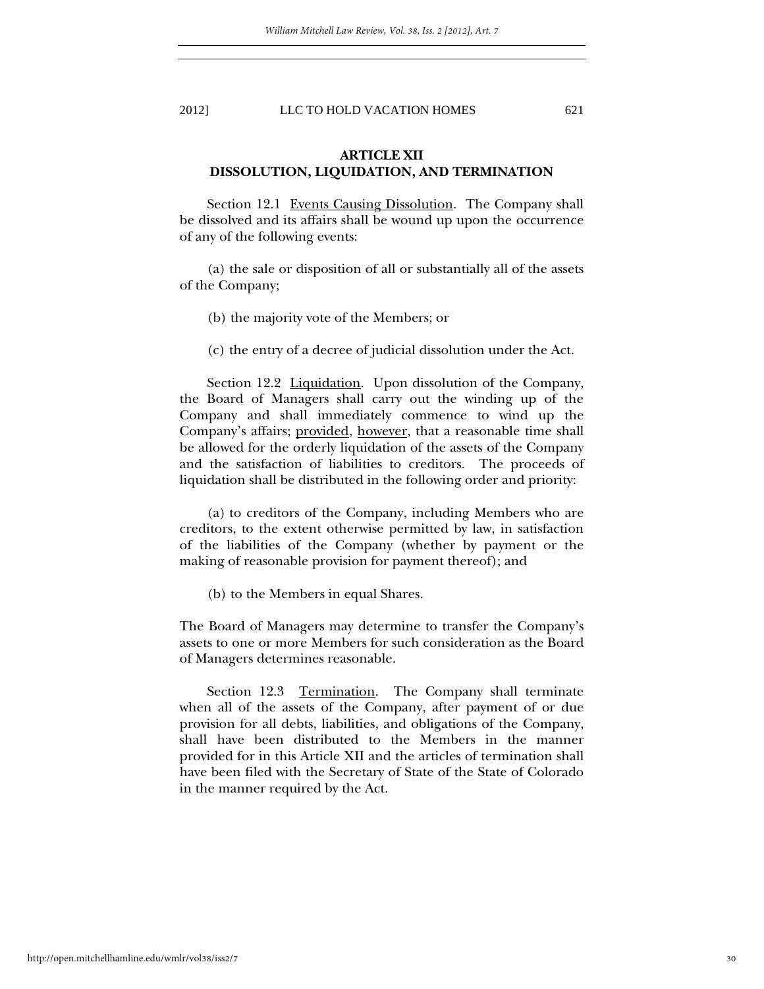# **ARTICLE XII DISSOLUTION, LIQUIDATION, AND TERMINATION**

Section 12.1 Events Causing Dissolution. The Company shall be dissolved and its affairs shall be wound up upon the occurrence of any of the following events:

(a) the sale or disposition of all or substantially all of the assets of the Company;

(b) the majority vote of the Members; or

(c) the entry of a decree of judicial dissolution under the Act.

Section 12.2 Liquidation. Upon dissolution of the Company, the Board of Managers shall carry out the winding up of the Company and shall immediately commence to wind up the Company's affairs; provided, however, that a reasonable time shall be allowed for the orderly liquidation of the assets of the Company and the satisfaction of liabilities to creditors. The proceeds of liquidation shall be distributed in the following order and priority:

(a) to creditors of the Company, including Members who are creditors, to the extent otherwise permitted by law, in satisfaction of the liabilities of the Company (whether by payment or the making of reasonable provision for payment thereof); and

(b) to the Members in equal Shares.

The Board of Managers may determine to transfer the Company's assets to one or more Members for such consideration as the Board of Managers determines reasonable.

Section 12.3 Termination. The Company shall terminate when all of the assets of the Company, after payment of or due provision for all debts, liabilities, and obligations of the Company, shall have been distributed to the Members in the manner provided for in this Article XII and the articles of termination shall have been filed with the Secretary of State of the State of Colorado in the manner required by the Act.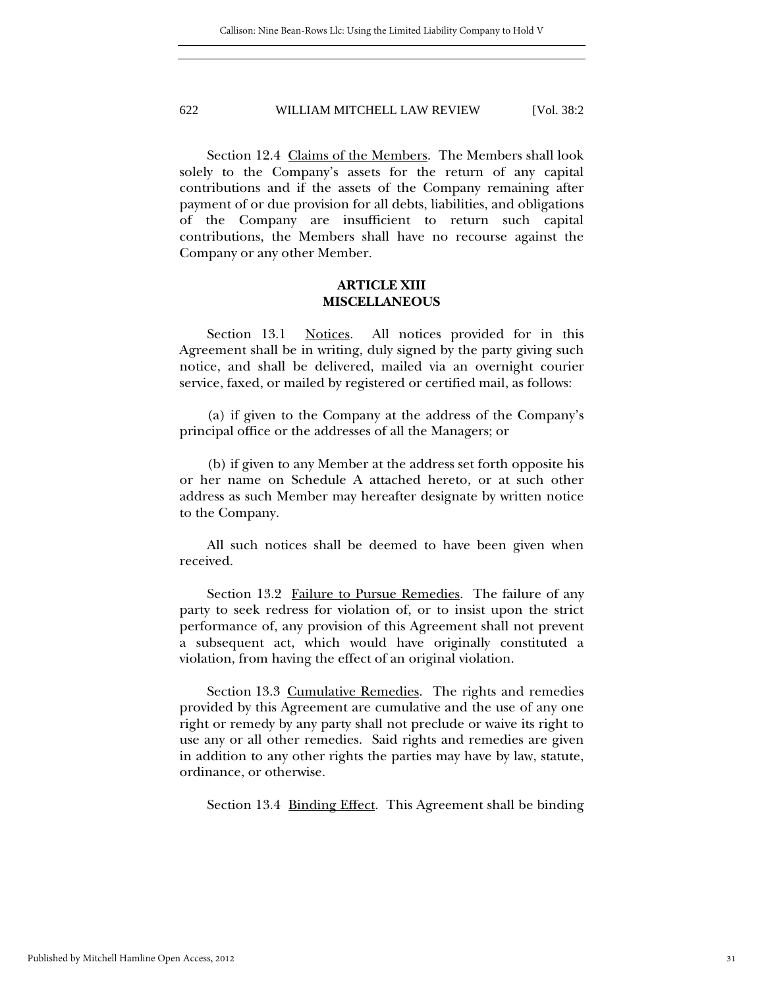Section 12.4 Claims of the Members. The Members shall look solely to the Company's assets for the return of any capital contributions and if the assets of the Company remaining after payment of or due provision for all debts, liabilities, and obligations of the Company are insufficient to return such capital contributions, the Members shall have no recourse against the Company or any other Member.

# **ARTICLE XIII MISCELLANEOUS**

Section 13.1 Notices. All notices provided for in this Agreement shall be in writing, duly signed by the party giving such notice, and shall be delivered, mailed via an overnight courier service, faxed, or mailed by registered or certified mail, as follows:

(a) if given to the Company at the address of the Company's principal office or the addresses of all the Managers; or

(b) if given to any Member at the address set forth opposite his or her name on Schedule A attached hereto, or at such other address as such Member may hereafter designate by written notice to the Company.

All such notices shall be deemed to have been given when received.

Section 13.2 Failure to Pursue Remedies. The failure of any party to seek redress for violation of, or to insist upon the strict performance of, any provision of this Agreement shall not prevent a subsequent act, which would have originally constituted a violation, from having the effect of an original violation.

Section 13.3 Cumulative Remedies. The rights and remedies provided by this Agreement are cumulative and the use of any one right or remedy by any party shall not preclude or waive its right to use any or all other remedies. Said rights and remedies are given in addition to any other rights the parties may have by law, statute, ordinance, or otherwise.

Section 13.4 <u>Binding Effect</u>. This Agreement shall be binding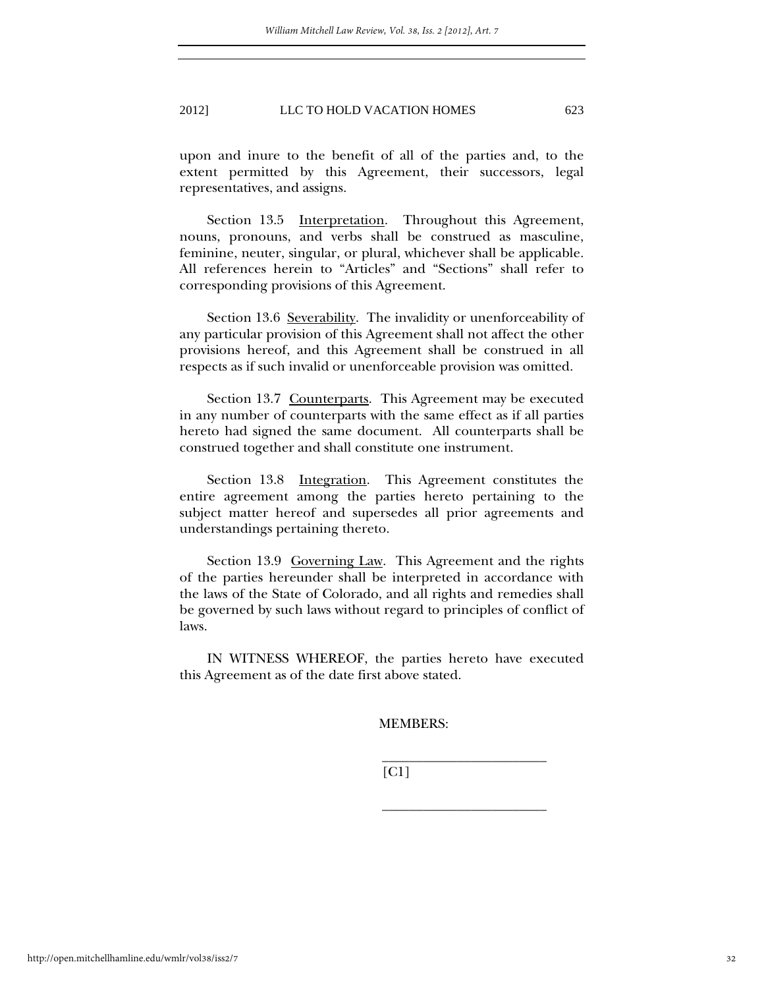upon and inure to the benefit of all of the parties and, to the extent permitted by this Agreement, their successors, legal representatives, and assigns.

Section 13.5 Interpretation. Throughout this Agreement, nouns, pronouns, and verbs shall be construed as masculine, feminine, neuter, singular, or plural, whichever shall be applicable. All references herein to "Articles" and "Sections" shall refer to corresponding provisions of this Agreement.

Section 13.6 Severability. The invalidity or unenforceability of any particular provision of this Agreement shall not affect the other provisions hereof, and this Agreement shall be construed in all respects as if such invalid or unenforceable provision was omitted.

Section 13.7 Counterparts. This Agreement may be executed in any number of counterparts with the same effect as if all parties hereto had signed the same document. All counterparts shall be construed together and shall constitute one instrument.

Section 13.8 Integration. This Agreement constitutes the entire agreement among the parties hereto pertaining to the subject matter hereof and supersedes all prior agreements and understandings pertaining thereto.

Section 13.9 Governing Law. This Agreement and the rights of the parties hereunder shall be interpreted in accordance with the laws of the State of Colorado, and all rights and remedies shall be governed by such laws without regard to principles of conflict of laws.

IN WITNESS WHEREOF, the parties hereto have executed this Agreement as of the date first above stated.

 $\frac{1}{2}$  ,  $\frac{1}{2}$  ,  $\frac{1}{2}$  ,  $\frac{1}{2}$  ,  $\frac{1}{2}$  ,  $\frac{1}{2}$  ,  $\frac{1}{2}$  ,  $\frac{1}{2}$  ,  $\frac{1}{2}$  ,  $\frac{1}{2}$  ,  $\frac{1}{2}$  ,  $\frac{1}{2}$  ,  $\frac{1}{2}$  ,  $\frac{1}{2}$  ,  $\frac{1}{2}$  ,  $\frac{1}{2}$  ,  $\frac{1}{2}$  ,  $\frac{1}{2}$  ,  $\frac{1$ 

 $\frac{1}{2}$  ,  $\frac{1}{2}$  ,  $\frac{1}{2}$  ,  $\frac{1}{2}$  ,  $\frac{1}{2}$  ,  $\frac{1}{2}$  ,  $\frac{1}{2}$  ,  $\frac{1}{2}$  ,  $\frac{1}{2}$  ,  $\frac{1}{2}$  ,  $\frac{1}{2}$  ,  $\frac{1}{2}$  ,  $\frac{1}{2}$  ,  $\frac{1}{2}$  ,  $\frac{1}{2}$  ,  $\frac{1}{2}$  ,  $\frac{1}{2}$  ,  $\frac{1}{2}$  ,  $\frac{1$ 

MEMBERS:

[C1]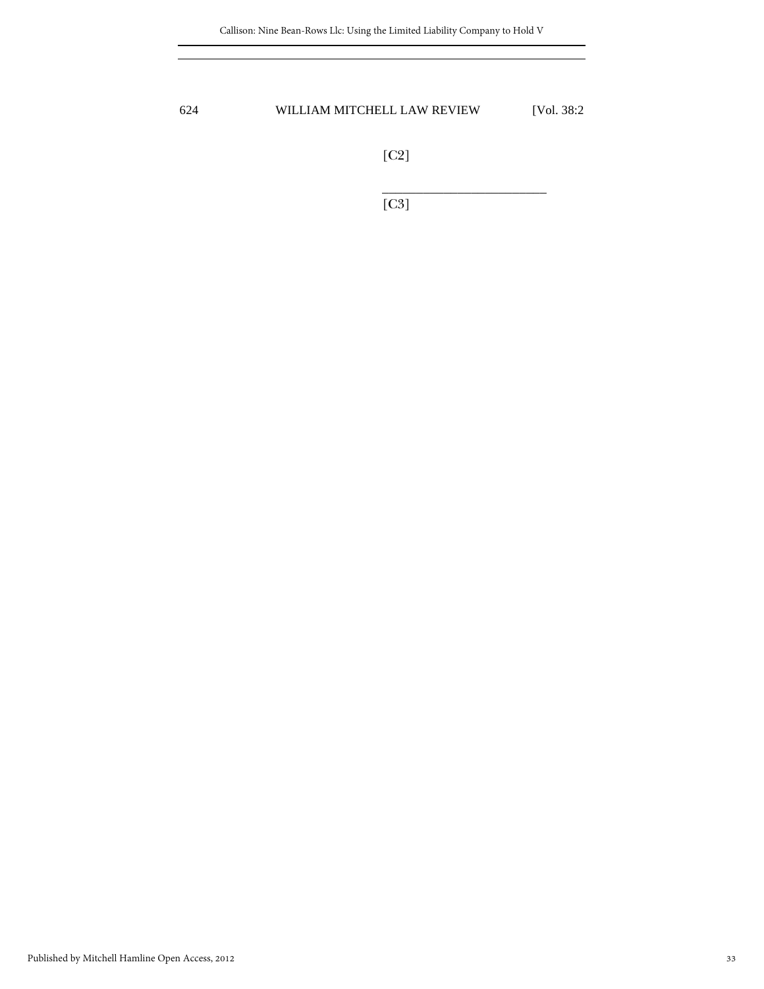[C2]

 $\frac{1}{2}$  , and the set of the set of the set of the set of the set of the set of the set of the set of the set of the set of the set of the set of the set of the set of the set of the set of the set of the set of the set [C3]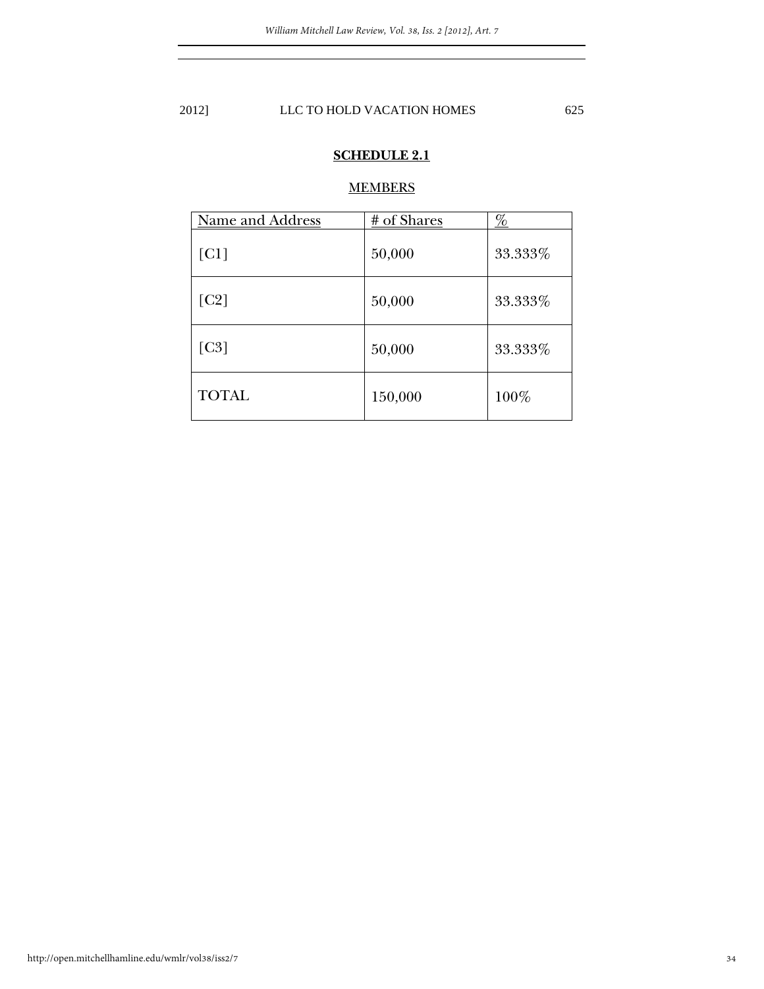# **SCHEDULE 2.1**

# **MEMBERS**

| Name and Address | # of Shares | <u>%</u> |
|------------------|-------------|----------|
| [CI]             | 50,000      | 33.333%  |
| [C2]             | 50,000      | 33.333%  |
| [C3]             | 50,000      | 33.333%  |
| <b>TOTAL</b>     | 150,000     | 100%     |